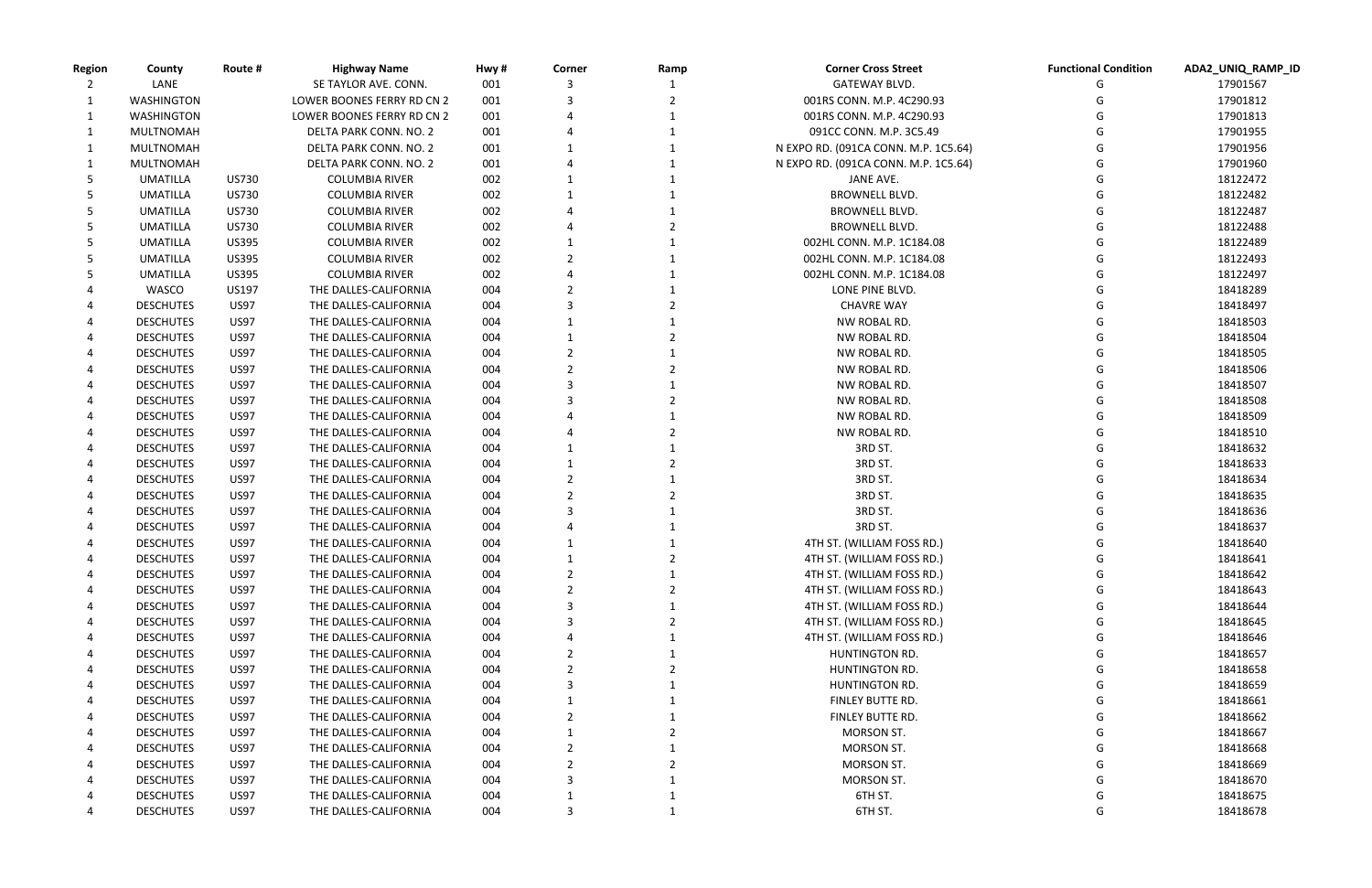| <b>Region</b> | County            | Route #      | <b>Highway Name</b>        | Hwy # | Corner        | Ramp | <b>Corner Cross Street</b>           | <b>Functional Condition</b> | ADA2_UNIQ_RAMP_ID |
|---------------|-------------------|--------------|----------------------------|-------|---------------|------|--------------------------------------|-----------------------------|-------------------|
|               | LANE              |              | SE TAYLOR AVE. CONN.       | 001   |               |      | <b>GATEWAY BLVD.</b>                 |                             | 17901567          |
| 1             | <b>WASHINGTON</b> |              | LOWER BOONES FERRY RD CN 2 | 001   |               |      | 001RS CONN. M.P. 4C290.93            |                             | 17901812          |
| 1             | WASHINGTON        |              | LOWER BOONES FERRY RD CN 2 | 001   |               |      | 001RS CONN. M.P. 4C290.93            |                             | 17901813          |
| 1             | MULTNOMAH         |              | DELTA PARK CONN. NO. 2     | 001   |               |      | 091CC CONN. M.P. 3C5.49              |                             | 17901955          |
|               | MULTNOMAH         |              | DELTA PARK CONN. NO. 2     | 001   |               |      | N EXPO RD. (091CA CONN. M.P. 1C5.64) |                             | 17901956          |
|               | MULTNOMAH         |              | DELTA PARK CONN. NO. 2     | 001   |               |      | N EXPO RD. (091CA CONN. M.P. 1C5.64) |                             | 17901960          |
|               | <b>UMATILLA</b>   | US730        | <b>COLUMBIA RIVER</b>      | 002   |               |      | JANE AVE.                            |                             | 18122472          |
|               | <b>UMATILLA</b>   | US730        | <b>COLUMBIA RIVER</b>      | 002   |               |      | <b>BROWNELL BLVD.</b>                |                             | 18122482          |
| 5             | <b>UMATILLA</b>   | US730        | <b>COLUMBIA RIVER</b>      | 002   |               |      | <b>BROWNELL BLVD.</b>                |                             | 18122487          |
|               | <b>UMATILLA</b>   | US730        | <b>COLUMBIA RIVER</b>      | 002   |               |      | <b>BROWNELL BLVD.</b>                |                             | 18122488          |
|               | <b>UMATILLA</b>   | <b>US395</b> | <b>COLUMBIA RIVER</b>      | 002   |               |      | 002HL CONN. M.P. 1C184.08            |                             | 18122489          |
|               | <b>UMATILLA</b>   | <b>US395</b> | <b>COLUMBIA RIVER</b>      | 002   |               |      | 002HL CONN. M.P. 1C184.08            |                             | 18122493          |
|               | <b>UMATILLA</b>   | <b>US395</b> | <b>COLUMBIA RIVER</b>      | 002   |               |      | 002HL CONN. M.P. 1C184.08            |                             | 18122497          |
|               | WASCO             | US197        | THE DALLES-CALIFORNIA      | 004   |               |      | LONE PINE BLVD.                      |                             | 18418289          |
|               | <b>DESCHUTES</b>  | <b>US97</b>  | THE DALLES-CALIFORNIA      | 004   |               |      | <b>CHAVRE WAY</b>                    |                             | 18418497          |
|               | <b>DESCHUTES</b>  | <b>US97</b>  | THE DALLES-CALIFORNIA      | 004   |               |      | NW ROBAL RD.                         |                             | 18418503          |
|               | <b>DESCHUTES</b>  | <b>US97</b>  | THE DALLES-CALIFORNIA      | 004   |               |      | NW ROBAL RD.                         |                             | 18418504          |
|               | <b>DESCHUTES</b>  | <b>US97</b>  | THE DALLES-CALIFORNIA      | 004   |               |      | NW ROBAL RD.                         |                             | 18418505          |
|               | <b>DESCHUTES</b>  | <b>US97</b>  | THE DALLES-CALIFORNIA      | 004   |               |      | NW ROBAL RD.                         |                             | 18418506          |
|               | <b>DESCHUTES</b>  | <b>US97</b>  | THE DALLES-CALIFORNIA      | 004   |               |      | NW ROBAL RD.                         |                             | 18418507          |
|               | <b>DESCHUTES</b>  | <b>US97</b>  | THE DALLES-CALIFORNIA      | 004   |               |      | NW ROBAL RD.                         |                             | 18418508          |
|               | <b>DESCHUTES</b>  | <b>US97</b>  | THE DALLES-CALIFORNIA      | 004   |               |      | NW ROBAL RD.                         |                             | 18418509          |
|               | <b>DESCHUTES</b>  | <b>US97</b>  | THE DALLES-CALIFORNIA      | 004   |               |      | NW ROBAL RD.                         |                             | 18418510          |
|               | <b>DESCHUTES</b>  | <b>US97</b>  | THE DALLES-CALIFORNIA      | 004   |               |      | 3RD ST.                              |                             | 18418632          |
|               | <b>DESCHUTES</b>  | <b>US97</b>  | THE DALLES-CALIFORNIA      | 004   |               |      | 3RD ST.                              |                             | 18418633          |
|               | <b>DESCHUTES</b>  | <b>US97</b>  | THE DALLES-CALIFORNIA      | 004   |               |      | 3RD ST.                              |                             | 18418634          |
|               | <b>DESCHUTES</b>  | <b>US97</b>  | THE DALLES-CALIFORNIA      | 004   |               |      | 3RD ST.                              |                             | 18418635          |
|               | <b>DESCHUTES</b>  | <b>US97</b>  | THE DALLES-CALIFORNIA      | 004   |               |      | 3RD ST.                              |                             | 18418636          |
|               | <b>DESCHUTES</b>  | <b>US97</b>  | THE DALLES-CALIFORNIA      | 004   |               |      | 3RD ST.                              |                             | 18418637          |
|               | <b>DESCHUTES</b>  | <b>US97</b>  | THE DALLES-CALIFORNIA      | 004   |               |      | 4TH ST. (WILLIAM FOSS RD.)           |                             | 18418640          |
|               | <b>DESCHUTES</b>  | <b>US97</b>  | THE DALLES-CALIFORNIA      | 004   |               |      | 4TH ST. (WILLIAM FOSS RD.)           |                             | 18418641          |
|               | <b>DESCHUTES</b>  | <b>US97</b>  | THE DALLES-CALIFORNIA      | 004   | $\mathcal{P}$ |      | 4TH ST. (WILLIAM FOSS RD.)           | G                           | 18418642          |
| 4             | <b>DESCHUTES</b>  | <b>US97</b>  | THE DALLES-CALIFORNIA      | 004   |               |      | 4TH ST. (WILLIAM FOSS RD.)           |                             | 18418643          |
|               | <b>DESCHUTES</b>  | <b>US97</b>  | THE DALLES-CALIFORNIA      | 004   |               |      | 4TH ST. (WILLIAM FOSS RD.)           |                             | 18418644          |
| 4             | <b>DESCHUTES</b>  | <b>US97</b>  | THE DALLES-CALIFORNIA      | 004   |               |      | 4TH ST. (WILLIAM FOSS RD.)           |                             | 18418645          |
|               | <b>DESCHUTES</b>  | <b>US97</b>  | THE DALLES-CALIFORNIA      | 004   |               |      | 4TH ST. (WILLIAM FOSS RD.)           |                             | 18418646          |
|               |                   |              | THE DALLES-CALIFORNIA      |       |               |      | HUNTINGTON RD.                       |                             |                   |
|               | <b>DESCHUTES</b>  | <b>US97</b>  | THE DALLES-CALIFORNIA      | 004   |               |      |                                      |                             | 18418657          |
| 4             | <b>DESCHUTES</b>  | <b>US97</b>  |                            | 004   |               |      | HUNTINGTON RD.                       |                             | 18418658          |
|               | <b>DESCHUTES</b>  | <b>US97</b>  | THE DALLES-CALIFORNIA      | 004   |               |      | HUNTINGTON RD.                       |                             | 18418659          |
| 4             | <b>DESCHUTES</b>  | <b>US97</b>  | THE DALLES-CALIFORNIA      | 004   |               |      | FINLEY BUTTE RD.                     |                             | 18418661          |
|               | <b>DESCHUTES</b>  | <b>US97</b>  | THE DALLES-CALIFORNIA      | 004   |               |      | FINLEY BUTTE RD.                     |                             | 18418662          |
|               | <b>DESCHUTES</b>  | <b>US97</b>  | THE DALLES-CALIFORNIA      | 004   |               |      | MORSON ST.                           |                             | 18418667          |
| 4             | <b>DESCHUTES</b>  | <b>US97</b>  | THE DALLES-CALIFORNIA      | 004   |               |      | MORSON ST.                           |                             | 18418668          |
|               | <b>DESCHUTES</b>  | <b>US97</b>  | THE DALLES-CALIFORNIA      | 004   |               |      | MORSON ST.                           |                             | 18418669          |
|               | <b>DESCHUTES</b>  | <b>US97</b>  | THE DALLES-CALIFORNIA      | 004   |               |      | MORSON ST.                           |                             | 18418670          |
|               | <b>DESCHUTES</b>  | <b>US97</b>  | THE DALLES-CALIFORNIA      | 004   |               |      | 6TH ST.                              |                             | 18418675          |
|               | <b>DESCHUTES</b>  | <b>US97</b>  | THE DALLES-CALIFORNIA      | 004   | 3             |      | 6TH ST.                              | G                           | 18418678          |

| <b>Functional Condition</b> | ADA2_UNIQ_RAMP_ID |
|-----------------------------|-------------------|
| G                           | 17901567          |
| G                           | 17901812          |
| G                           | 17901813          |
| G                           | 17901955          |
| G                           | 17901956          |
| G                           | 17901960          |
| G                           | 18122472          |
| G                           | 18122482          |
| G                           | 18122487          |
| G                           | 18122488          |
| G                           | 18122489          |
| G                           | 18122493          |
| G                           | 18122497          |
| G                           | 18418289          |
| G                           | 18418497          |
| G                           | 18418503          |
| G                           | 18418504          |
| G                           | 18418505          |
| G                           | 18418506          |
| G                           | 18418507          |
| G                           | 18418508          |
| G                           | 18418509          |
| G                           | 18418510          |
| G                           | 18418632          |
| G                           | 18418633          |
| G                           | 18418634          |
| G                           | 18418635          |
| G                           | 18418636          |
| G                           | 18418637          |
| G                           | 18418640          |
| G                           | 18418641          |
| G                           | 18418642          |
| G                           | 18418643          |
| G                           | 18418644          |
| G                           | 18418645          |
| G                           | 18418646          |
| G                           | 18418657          |
| G                           | 18418658          |
| G                           | 18418659          |
| G                           | 18418661          |
| G                           | 18418662          |
| G                           | 18418667          |
| G                           | 18418668          |
| G                           | 18418669          |
| G                           | 18418670          |
| G                           | 18418675          |
| G                           | 18418678          |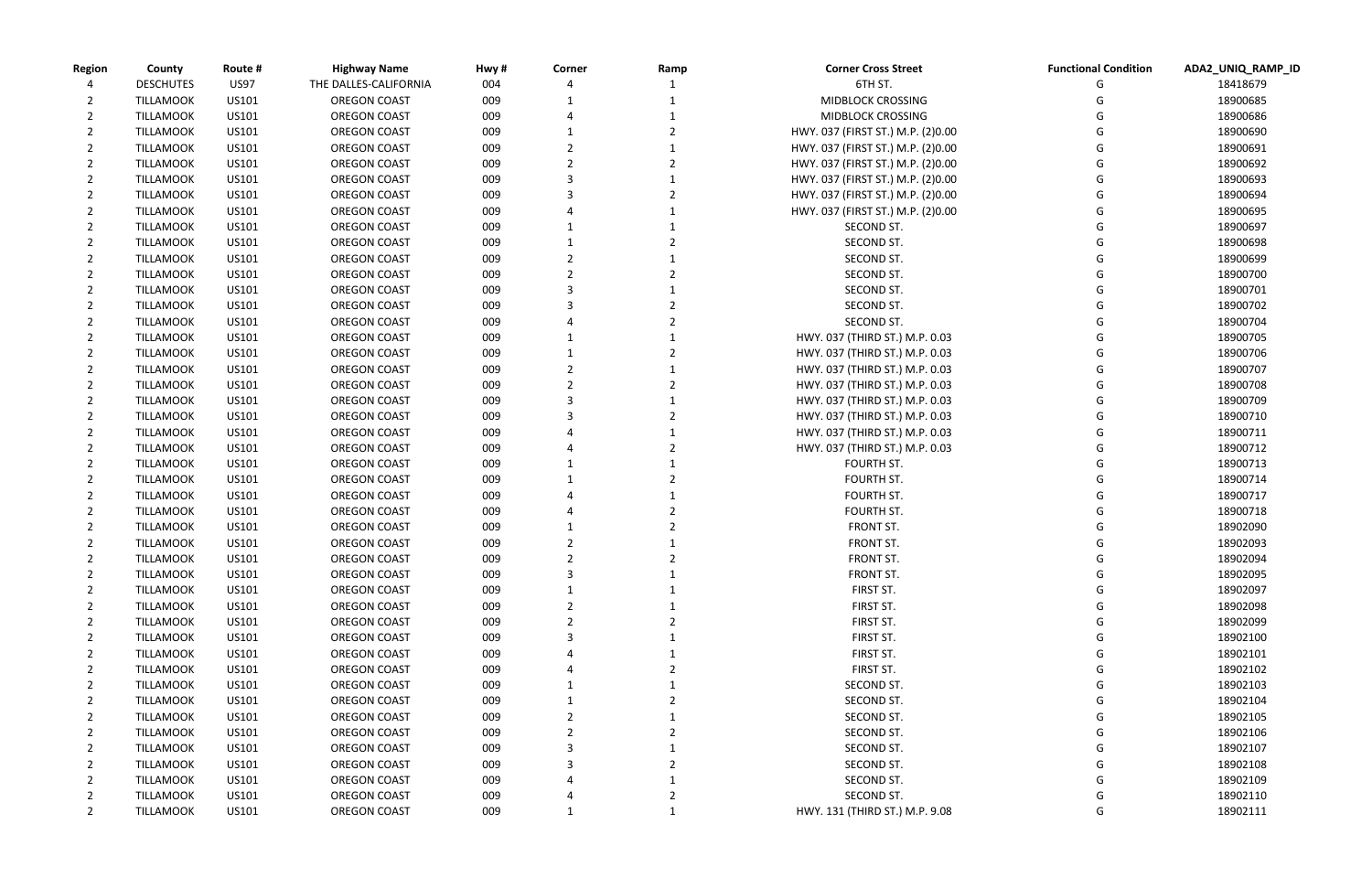| <b>Functional Condition</b> | ADA2_UNIQ_RAMP_ID |
|-----------------------------|-------------------|
| G                           | 18418679          |
| G                           | 18900685          |
| G                           | 18900686          |
| G                           | 18900690          |
| G                           | 18900691          |
| G                           | 18900692          |
| G                           | 18900693          |
| G                           | 18900694          |
| G                           | 18900695          |
| G                           | 18900697          |
| G                           | 18900698          |
| G                           | 18900699          |
| G                           | 18900700          |
| G                           | 18900701          |
| G                           | 18900702          |
| G                           | 18900704          |
| G                           | 18900705          |
| G                           | 18900706          |
| G                           | 18900707          |
| G                           | 18900708          |
| G                           | 18900709          |
| G                           | 18900710          |
| G                           | 18900711          |
| G                           | 18900712          |
| G                           | 18900713          |
| G                           | 18900714          |
| G                           | 18900717          |
| G                           | 18900718          |
| G                           | 18902090          |
| G                           | 18902093          |
| G                           | 18902094          |
| G                           | 18902095          |
| G                           | 18902097          |
| G                           | 18902098          |
| G                           | 18902099          |
| G                           | 18902100          |
| G                           | 18902101          |
| G                           | 18902102          |
| G                           | 18902103          |
| G                           | 18902104          |
| G                           | 18902105          |
| G                           | 18902106          |
| G                           | 18902107          |
| G                           | 18902108          |
| G                           | 18902109          |
| G                           | 18902110          |
| G                           | 18902111          |

| <b>Region</b> | County           | Route #        | <b>Highway Name</b>   | Hwy # | Corner | Ramp | <b>Corner Cross Street</b>        | <b>Functional Condition</b> | ADA2_UNIQ_RA         |
|---------------|------------------|----------------|-----------------------|-------|--------|------|-----------------------------------|-----------------------------|----------------------|
|               | <b>DESCHUTES</b> | <b>US97</b>    | THE DALLES-CALIFORNIA | 004   |        |      | 6TH ST.                           |                             | 18418679             |
|               | <b>TILLAMOOK</b> | US101          | <b>OREGON COAST</b>   | 009   |        |      | <b>MIDBLOCK CROSSING</b>          |                             | 18900685             |
|               | <b>TILLAMOOK</b> | US101          | <b>OREGON COAST</b>   | 009   |        |      | <b>MIDBLOCK CROSSING</b>          |                             | 18900686             |
|               | <b>TILLAMOOK</b> | US101          | <b>OREGON COAST</b>   | 009   |        |      | HWY. 037 (FIRST ST.) M.P. (2)0.00 |                             | 18900690             |
|               | <b>TILLAMOOK</b> | US101          | <b>OREGON COAST</b>   | 009   |        |      | HWY. 037 (FIRST ST.) M.P. (2)0.00 |                             | 18900691             |
|               | <b>TILLAMOOK</b> | US101          | <b>OREGON COAST</b>   | 009   |        |      | HWY. 037 (FIRST ST.) M.P. (2)0.00 |                             | 18900692             |
| $\mathbf{2}$  | <b>TILLAMOOK</b> | US101          | <b>OREGON COAST</b>   | 009   |        |      | HWY. 037 (FIRST ST.) M.P. (2)0.00 |                             | 18900693             |
|               | <b>TILLAMOOK</b> | US101          | <b>OREGON COAST</b>   | 009   |        |      | HWY. 037 (FIRST ST.) M.P. (2)0.00 |                             | 18900694             |
|               | <b>TILLAMOOK</b> | US101          | <b>OREGON COAST</b>   | 009   |        |      | HWY. 037 (FIRST ST.) M.P. (2)0.00 |                             | 18900695             |
|               | <b>TILLAMOOK</b> | US101          | <b>OREGON COAST</b>   | 009   |        |      | SECOND ST.                        |                             | 18900697             |
|               | <b>TILLAMOOK</b> | US101          | <b>OREGON COAST</b>   | 009   |        |      | SECOND ST.                        |                             | 18900698             |
|               | <b>TILLAMOOK</b> | US101          | <b>OREGON COAST</b>   | 009   |        |      | SECOND ST.                        |                             | 18900699             |
| 2             | <b>TILLAMOOK</b> | US101          | <b>OREGON COAST</b>   | 009   |        |      | SECOND ST.                        |                             | 18900700             |
|               | <b>TILLAMOOK</b> | US101          | <b>OREGON COAST</b>   | 009   |        |      | SECOND ST.                        |                             | 18900701             |
|               | <b>TILLAMOOK</b> | US101          | <b>OREGON COAST</b>   | 009   |        |      | SECOND ST.                        |                             | 18900702             |
|               | <b>TILLAMOOK</b> | US101          | <b>OREGON COAST</b>   | 009   |        |      | SECOND ST.                        |                             | 18900704             |
|               | <b>TILLAMOOK</b> | US101          | <b>OREGON COAST</b>   | 009   |        |      | HWY. 037 (THIRD ST.) M.P. 0.03    |                             | 18900705             |
|               | <b>TILLAMOOK</b> | US101          | OREGON COAST          | 009   |        |      | HWY. 037 (THIRD ST.) M.P. 0.03    |                             | 18900706             |
|               | <b>TILLAMOOK</b> | US101          | <b>OREGON COAST</b>   | 009   |        |      | HWY. 037 (THIRD ST.) M.P. 0.03    |                             | 18900707             |
|               | <b>TILLAMOOK</b> | US101          | <b>OREGON COAST</b>   | 009   |        |      | HWY. 037 (THIRD ST.) M.P. 0.03    |                             | 18900708             |
|               | <b>TILLAMOOK</b> | US101          | <b>OREGON COAST</b>   | 009   |        |      | HWY. 037 (THIRD ST.) M.P. 0.03    |                             | 18900709             |
|               | <b>TILLAMOOK</b> |                | <b>OREGON COAST</b>   |       |        |      |                                   |                             |                      |
|               | <b>TILLAMOOK</b> | US101<br>US101 |                       | 009   |        |      | HWY. 037 (THIRD ST.) M.P. 0.03    |                             | 18900710<br>18900711 |
|               |                  |                | <b>OREGON COAST</b>   | 009   |        |      | HWY. 037 (THIRD ST.) M.P. 0.03    |                             |                      |
|               | <b>TILLAMOOK</b> | US101          | OREGON COAST          | 009   |        |      | HWY. 037 (THIRD ST.) M.P. 0.03    |                             | 18900712             |
|               | <b>TILLAMOOK</b> | US101          | <b>OREGON COAST</b>   | 009   |        |      | FOURTH ST.                        |                             | 18900713             |
|               | <b>TILLAMOOK</b> | US101          | <b>OREGON COAST</b>   | 009   |        |      | FOURTH ST.                        |                             | 18900714             |
| 2             | <b>TILLAMOOK</b> | US101          | <b>OREGON COAST</b>   | 009   |        |      | FOURTH ST.                        |                             | 18900717             |
|               | <b>TILLAMOOK</b> | US101          | OREGON COAST          | 009   |        |      | FOURTH ST.                        |                             | 18900718             |
|               | <b>TILLAMOOK</b> | US101          | <b>OREGON COAST</b>   | 009   |        |      | FRONT ST.                         |                             | 18902090             |
|               | <b>TILLAMOOK</b> | US101          | <b>OREGON COAST</b>   | 009   |        |      | FRONT ST.                         |                             | 18902093             |
|               | <b>TILLAMOOK</b> | US101          | <b>OREGON COAST</b>   | 009   |        |      | FRONT ST.                         |                             | 18902094             |
|               | <b>TILLAMOOK</b> | US101          | <b>OREGON COAST</b>   | 009   |        |      | FRONT ST.                         | G                           | 18902095             |
| 2             | <b>TILLAMOOK</b> | US101          | <b>OREGON COAST</b>   | 009   |        |      | FIRST ST.                         |                             | 18902097             |
| 2             | <b>TILLAMOOK</b> | US101          | <b>OREGON COAST</b>   | 009   |        |      | FIRST ST.                         |                             | 18902098             |
|               | <b>TILLAMOOK</b> | US101          | <b>OREGON COAST</b>   | 009   |        |      | FIRST ST.                         |                             | 18902099             |
|               | <b>TILLAMOOK</b> | US101          | <b>OREGON COAST</b>   | 009   |        |      | FIRST ST.                         |                             | 18902100             |
|               | <b>TILLAMOOK</b> | US101          | <b>OREGON COAST</b>   | 009   |        |      | FIRST ST.                         |                             | 18902101             |
|               | <b>TILLAMOOK</b> | US101          | <b>OREGON COAST</b>   | 009   |        |      | FIRST ST.                         |                             | 18902102             |
|               | <b>TILLAMOOK</b> | US101          | <b>OREGON COAST</b>   | 009   |        |      | SECOND ST.                        |                             | 18902103             |
| 2             | <b>TILLAMOOK</b> | US101          | <b>OREGON COAST</b>   | 009   |        |      | SECOND ST.                        |                             | 18902104             |
| 2             | <b>TILLAMOOK</b> | US101          | <b>OREGON COAST</b>   | 009   |        |      | SECOND ST.                        |                             | 18902105             |
|               | <b>TILLAMOOK</b> | US101          | <b>OREGON COAST</b>   | 009   |        |      | SECOND ST.                        |                             | 18902106             |
|               | <b>TILLAMOOK</b> | US101          | <b>OREGON COAST</b>   | 009   |        |      | SECOND ST.                        |                             | 18902107             |
|               | <b>TILLAMOOK</b> | US101          | OREGON COAST          | 009   |        |      | SECOND ST.                        |                             | 18902108             |
|               | <b>TILLAMOOK</b> | US101          | <b>OREGON COAST</b>   | 009   |        |      | SECOND ST.                        |                             | 18902109             |
| 2             | <b>TILLAMOOK</b> | US101          | <b>OREGON COAST</b>   | 009   |        |      | SECOND ST.                        |                             | 18902110             |
| 2             | <b>TILLAMOOK</b> | US101          | <b>OREGON COAST</b>   | 009   |        |      | HWY. 131 (THIRD ST.) M.P. 9.08    | G                           | 18902111             |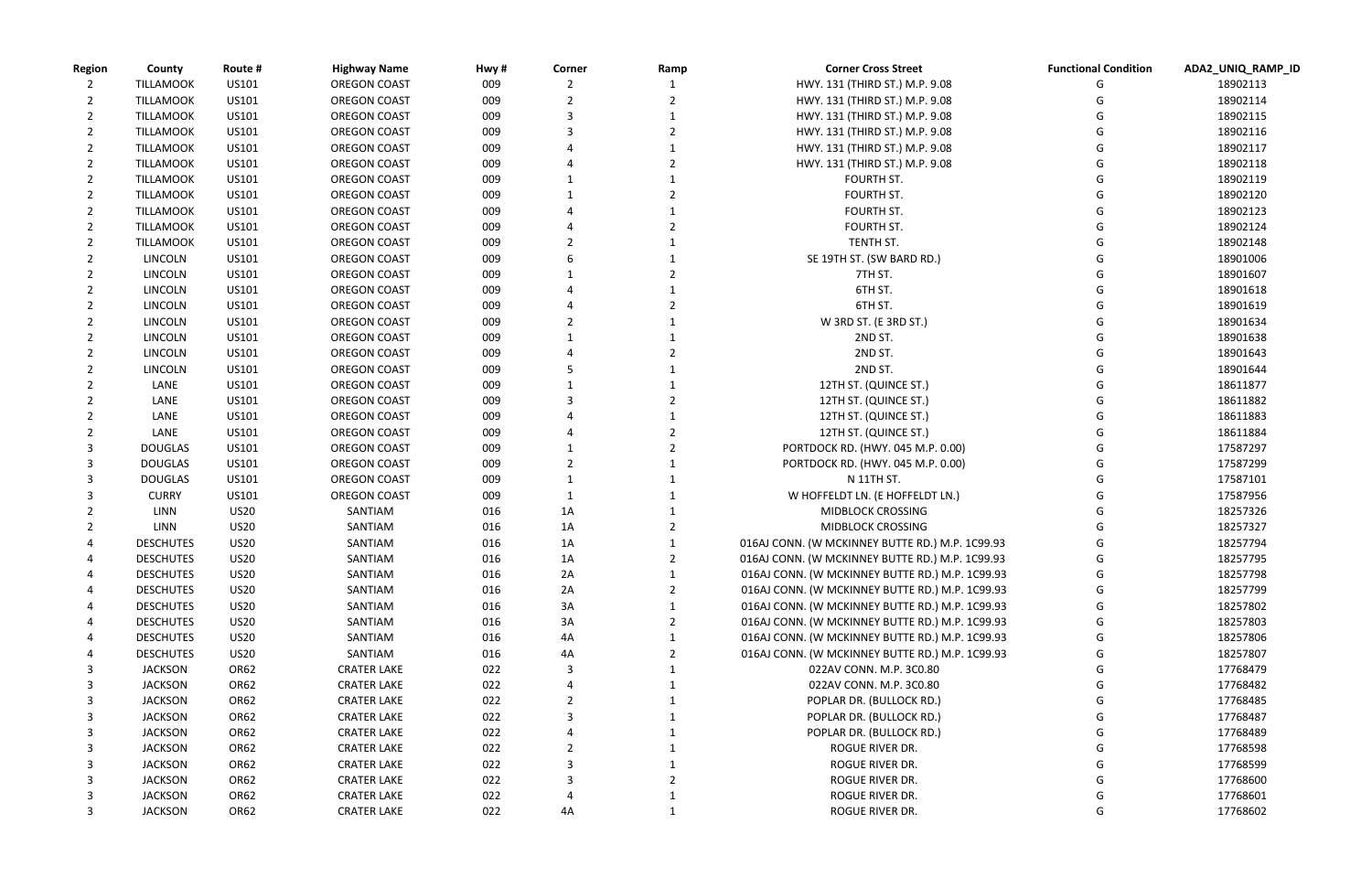| <b>Region</b> | County                               | Route #     | <b>Highway Name</b>           | Hwy# | Corner | Ramp | <b>Corner Cross Street</b>                      | <b>Functional Condition</b> | ADA2_UNIQ_RAMP_ID    |
|---------------|--------------------------------------|-------------|-------------------------------|------|--------|------|-------------------------------------------------|-----------------------------|----------------------|
|               | <b>TILLAMOOK</b>                     | US101       | <b>OREGON COAST</b>           | 009  |        |      | HWY. 131 (THIRD ST.) M.P. 9.08                  |                             | 18902113             |
|               | <b>TILLAMOOK</b>                     | US101       | <b>OREGON COAST</b>           | 009  |        |      | HWY. 131 (THIRD ST.) M.P. 9.08                  |                             | 18902114             |
|               | <b>TILLAMOOK</b>                     | US101       | <b>OREGON COAST</b>           | 009  |        |      | HWY. 131 (THIRD ST.) M.P. 9.08                  |                             | 18902115             |
| 2             | <b>TILLAMOOK</b>                     | US101       | <b>OREGON COAST</b>           | 009  |        |      | HWY. 131 (THIRD ST.) M.P. 9.08                  |                             | 18902116             |
| 2             | <b>TILLAMOOK</b>                     | US101       | <b>OREGON COAST</b>           | 009  |        |      | HWY. 131 (THIRD ST.) M.P. 9.08                  |                             | 18902117             |
|               | <b>TILLAMOOK</b>                     | US101       | <b>OREGON COAST</b>           | 009  |        |      | HWY. 131 (THIRD ST.) M.P. 9.08                  |                             | 18902118             |
|               | <b>TILLAMOOK</b>                     | US101       | <b>OREGON COAST</b>           | 009  |        |      | FOURTH ST.                                      |                             | 18902119             |
|               | <b>TILLAMOOK</b>                     | US101       | <b>OREGON COAST</b>           | 009  |        |      | FOURTH ST.                                      |                             | 18902120             |
| 2             | <b>TILLAMOOK</b>                     | US101       | <b>OREGON COAST</b>           | 009  |        |      | <b>FOURTH ST.</b>                               |                             | 18902123             |
|               | <b>TILLAMOOK</b>                     | US101       | <b>OREGON COAST</b>           | 009  |        |      | FOURTH ST.                                      |                             | 18902124             |
|               | <b>TILLAMOOK</b>                     | US101       | <b>OREGON COAST</b>           | 009  |        |      | TENTH ST.                                       |                             | 18902148             |
|               | <b>LINCOLN</b>                       | US101       | <b>OREGON COAST</b>           | 009  |        |      | SE 19TH ST. (SW BARD RD.)                       |                             | 18901006             |
|               | <b>LINCOLN</b>                       | US101       | OREGON COAST                  | 009  |        |      | 7TH ST.                                         |                             | 18901607             |
|               | <b>LINCOLN</b>                       | US101       | <b>OREGON COAST</b>           | 009  |        |      | 6TH ST.                                         |                             | 18901618             |
|               | <b>LINCOLN</b>                       | US101       | <b>OREGON COAST</b>           | 009  |        |      | 6TH ST.                                         |                             | 18901619             |
|               | <b>LINCOLN</b>                       | US101       | <b>OREGON COAST</b>           | 009  |        |      | W 3RD ST. (E 3RD ST.)                           |                             | 18901634             |
|               | <b>LINCOLN</b>                       | US101       | <b>OREGON COAST</b>           | 009  |        |      | 2ND ST.                                         |                             | 18901638             |
|               | <b>LINCOLN</b>                       | US101       | <b>OREGON COAST</b>           | 009  |        |      | 2ND ST.                                         |                             | 18901643             |
|               | <b>LINCOLN</b>                       | US101       | <b>OREGON COAST</b>           | 009  |        |      | 2ND ST.                                         |                             | 18901644             |
|               | LANE                                 | US101       | <b>OREGON COAST</b>           | 009  |        |      | 12TH ST. (QUINCE ST.)                           |                             | 18611877             |
|               | LANE                                 | US101       | <b>OREGON COAST</b>           | 009  |        |      | 12TH ST. (QUINCE ST.)                           |                             | 18611882             |
|               | LANE                                 | US101       | <b>OREGON COAST</b>           | 009  |        |      | 12TH ST. (QUINCE ST.)                           |                             | 18611883             |
|               | LANE                                 | US101       | <b>OREGON COAST</b>           | 009  |        |      | 12TH ST. (QUINCE ST.)                           |                             | 18611884             |
|               | <b>DOUGLAS</b>                       | US101       | <b>OREGON COAST</b>           | 009  |        |      | PORTDOCK RD. (HWY. 045 M.P. 0.00)               |                             | 17587297             |
|               | <b>DOUGLAS</b>                       | US101       | <b>OREGON COAST</b>           | 009  |        |      | PORTDOCK RD. (HWY. 045 M.P. 0.00)               |                             | 17587299             |
|               | <b>DOUGLAS</b>                       | US101       | <b>OREGON COAST</b>           | 009  |        |      | N 11TH ST.                                      |                             | 17587101             |
|               | <b>CURRY</b>                         | US101       | <b>OREGON COAST</b>           | 009  |        |      | W HOFFELDT LN. (E HOFFELDT LN.)                 |                             | 17587956             |
|               | LINN                                 | <b>US20</b> | SANTIAM                       | 016  | 1A     |      | <b>MIDBLOCK CROSSING</b>                        |                             | 18257326             |
|               | LINN                                 | <b>US20</b> | SANTIAM                       | 016  | 1A     |      | <b>MIDBLOCK CROSSING</b>                        |                             | 18257327             |
|               | <b>DESCHUTES</b>                     | <b>US20</b> | SANTIAM                       | 016  | 1A     |      | 016AJ CONN. (W MCKINNEY BUTTE RD.) M.P. 1C99.93 |                             | 18257794             |
|               | <b>DESCHUTES</b>                     | <b>US20</b> | SANTIAM                       | 016  | 1A     |      | 016AJ CONN. (W MCKINNEY BUTTE RD.) M.P. 1C99.93 |                             | 18257795             |
|               | <b>DESCHUTES</b>                     | <b>US20</b> | SANTIAM                       | 016  | 2A     | 1    | 016AJ CONN. (W MCKINNEY BUTTE RD.) M.P. 1C99.93 | G                           | 18257798             |
| 4             | <b>DESCHUTES</b>                     | <b>US20</b> | SANTIAM                       | 016  | 2A     |      | 016AJ CONN. (W MCKINNEY BUTTE RD.) M.P. 1C99.93 |                             | 18257799             |
|               |                                      |             | SANTIAM                       |      |        |      | 016AJ CONN. (W MCKINNEY BUTTE RD.) M.P. 1C99.93 |                             |                      |
|               | <b>DESCHUTES</b><br><b>DESCHUTES</b> | <b>US20</b> | SANTIAM                       | 016  | 3A     |      | 016AJ CONN. (W MCKINNEY BUTTE RD.) M.P. 1C99.93 |                             | 18257802<br>18257803 |
|               |                                      | <b>US20</b> |                               | 016  | 3A     |      |                                                 |                             |                      |
|               | <b>DESCHUTES</b>                     | <b>US20</b> | SANTIAM                       | 016  | 4A     |      | 016AJ CONN. (W MCKINNEY BUTTE RD.) M.P. 1C99.93 |                             | 18257806             |
|               | <b>DESCHUTES</b>                     | <b>US20</b> | SANTIAM<br><b>CRATER LAKE</b> | 016  | 4A     |      | 016AJ CONN. (W MCKINNEY BUTTE RD.) M.P. 1C99.93 |                             | 18257807             |
| 3             | <b>JACKSON</b>                       | OR62        |                               | 022  |        |      | 022AV CONN. M.P. 3C0.80                         |                             | 17768479             |
| 3             | <b>JACKSON</b>                       | OR62        | <b>CRATER LAKE</b>            | 022  |        |      | 022AV CONN. M.P. 3C0.80                         |                             | 17768482             |
| 3             | <b>JACKSON</b>                       | OR62        | <b>CRATER LAKE</b>            | 022  |        |      | POPLAR DR. (BULLOCK RD.)                        |                             | 17768485             |
| 3             | <b>JACKSON</b>                       | OR62        | <b>CRATER LAKE</b>            | 022  |        |      | POPLAR DR. (BULLOCK RD.)                        |                             | 17768487             |
| 3             | <b>JACKSON</b>                       | OR62        | <b>CRATER LAKE</b>            | 022  |        |      | POPLAR DR. (BULLOCK RD.)                        |                             | 17768489             |
| 3             | <b>JACKSON</b>                       | OR62        | <b>CRATER LAKE</b>            | 022  |        |      | ROGUE RIVER DR.                                 |                             | 17768598             |
| 3             | <b>JACKSON</b>                       | OR62        | <b>CRATER LAKE</b>            | 022  |        |      | ROGUE RIVER DR.                                 |                             | 17768599             |
| 3             | <b>JACKSON</b>                       | OR62        | <b>CRATER LAKE</b>            | 022  |        |      | ROGUE RIVER DR.                                 |                             | 17768600             |
|               | <b>JACKSON</b>                       | OR62        | <b>CRATER LAKE</b>            | 022  |        |      | ROGUE RIVER DR.                                 |                             | 17768601             |
| 3             | <b>JACKSON</b>                       | OR62        | <b>CRATER LAKE</b>            | 022  | 4A     |      | ROGUE RIVER DR.                                 |                             | 17768602             |

| <b>Functional Condition</b> | ADA2 UNIQ RAMP ID |
|-----------------------------|-------------------|
| G                           | 18902113          |
| G                           | 18902114          |
| G                           | 18902115          |
| G                           | 18902116          |
| G                           | 18902117          |
| G                           | 18902118          |
| G                           | 18902119          |
| G                           | 18902120          |
| G                           | 18902123          |
| G                           | 18902124          |
| G                           | 18902148          |
| G                           | 18901006          |
| G                           | 18901607          |
| G                           | 18901618          |
| G                           | 18901619          |
| G                           | 18901634          |
| G                           | 18901638          |
| G                           | 18901643          |
| G                           | 18901644          |
| G                           | 18611877          |
| G                           | 18611882          |
| G                           | 18611883          |
| G                           | 18611884          |
| G                           | 17587297          |
| G                           | 17587299          |
| G                           | 17587101          |
| G                           | 17587956          |
| G                           | 18257326          |
| G                           | 18257327          |
| G                           | 18257794          |
| G                           | 18257795          |
| G                           | 18257798          |
| G                           | 18257799          |
| G                           | 18257802          |
| G                           | 18257803          |
| G                           | 18257806          |
| G                           | 18257807          |
| G                           | 17768479          |
| G                           | 17768482          |
| G                           | 17768485          |
| G                           | 17768487          |
| G                           | 17768489          |
| G                           | 17768598          |
| G                           | 17768599          |
| G                           | 17768600          |
| G                           | 17768601          |
| G                           | 17768602          |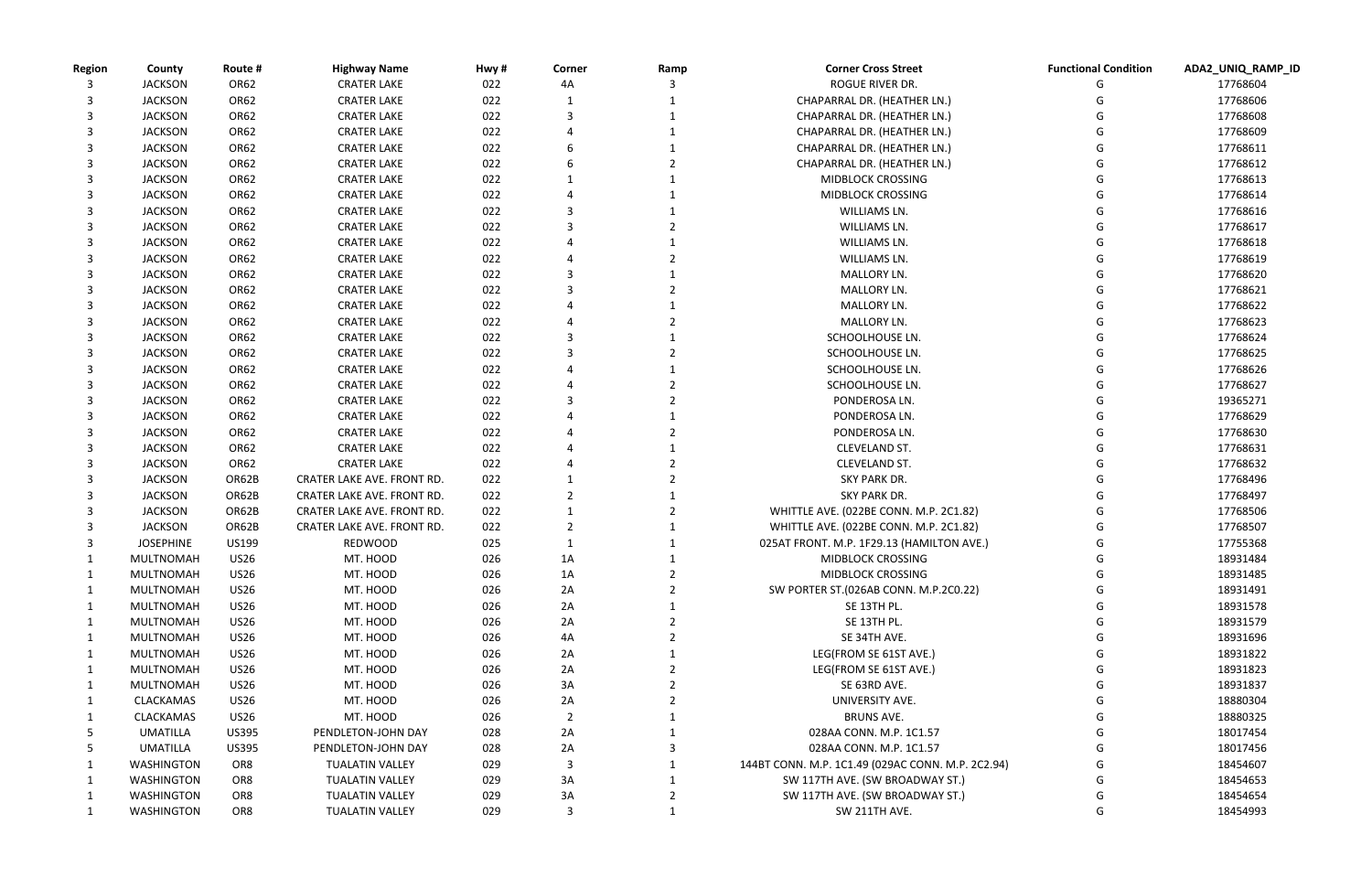| <b>Functional Condition</b> | ADA2_UNIQ_RAMP_ID    |
|-----------------------------|----------------------|
| G                           | 17768604             |
| G                           | 17768606             |
| G                           | 17768608             |
| G                           | 17768609             |
| G                           | 17768611             |
| G                           | 17768612             |
| G                           | 17768613             |
| G                           | 17768614             |
| G                           | 17768616             |
| G                           | 17768617             |
| G                           | 17768618             |
| G                           | 17768619             |
| G                           | 17768620             |
| G                           | 17768621             |
| G                           | 17768622             |
| G                           | 17768623             |
| G                           | 17768624             |
| G                           | 17768625             |
| G                           | 17768626             |
| G                           | 17768627             |
| G                           | 19365271             |
| G                           | 17768629             |
| G                           | 17768630             |
| G<br>G                      | 17768631<br>17768632 |
| G                           | 17768496             |
| G                           | 17768497             |
| G                           | 17768506             |
| G                           | 17768507             |
| G                           | 17755368             |
| G                           | 18931484             |
| G                           | 18931485             |
| G                           | 18931491             |
| G                           | 18931578             |
| G                           | 18931579             |
| G                           | 18931696             |
| G                           | 18931822             |
| G                           | 18931823             |
| G                           | 18931837             |
| G                           | 18880304             |
| G                           | 18880325             |
| G                           | 18017454             |
| G                           | 18017456             |
| G                           | 18454607             |
| G                           | 18454653             |
| G                           | 18454654             |
| G                           | 18454993             |

| <b>Region</b> | County            | Route #         | <b>Highway Name</b>        | Hwy# | Corner         | Ramp | <b>Corner Cross Street</b>                        | <b>Functional Condition</b> | ADA2_UNIQ_RAMP_ID |
|---------------|-------------------|-----------------|----------------------------|------|----------------|------|---------------------------------------------------|-----------------------------|-------------------|
|               | <b>JACKSON</b>    | <b>OR62</b>     | <b>CRATER LAKE</b>         | 022  | 4А             |      | ROGUE RIVER DR.                                   |                             | 17768604          |
|               | <b>JACKSON</b>    | OR62            | <b>CRATER LAKE</b>         | 022  |                |      | CHAPARRAL DR. (HEATHER LN.)                       |                             | 17768606          |
|               | <b>JACKSON</b>    | OR62            | <b>CRATER LAKE</b>         | 022  |                |      | CHAPARRAL DR. (HEATHER LN.)                       |                             | 17768608          |
|               | <b>JACKSON</b>    | OR62            | <b>CRATER LAKE</b>         | 022  |                |      | CHAPARRAL DR. (HEATHER LN.)                       |                             | 17768609          |
|               | <b>JACKSON</b>    | OR62            | <b>CRATER LAKE</b>         | 022  |                |      | CHAPARRAL DR. (HEATHER LN.)                       |                             | 17768611          |
|               | <b>JACKSON</b>    | OR62            | <b>CRATER LAKE</b>         | 022  |                |      | CHAPARRAL DR. (HEATHER LN.)                       |                             | 17768612          |
|               | <b>JACKSON</b>    | OR62            | <b>CRATER LAKE</b>         | 022  |                |      | <b>MIDBLOCK CROSSING</b>                          |                             | 17768613          |
|               | <b>JACKSON</b>    | OR62            | <b>CRATER LAKE</b>         | 022  |                |      | <b>MIDBLOCK CROSSING</b>                          |                             | 17768614          |
|               | <b>JACKSON</b>    | OR62            | <b>CRATER LAKE</b>         | 022  |                |      | WILLIAMS LN.                                      |                             | 17768616          |
|               | <b>JACKSON</b>    | OR62            | <b>CRATER LAKE</b>         | 022  |                |      | WILLIAMS LN.                                      |                             | 17768617          |
|               | <b>JACKSON</b>    | OR62            | <b>CRATER LAKE</b>         | 022  |                |      | WILLIAMS LN.                                      |                             | 17768618          |
|               | <b>JACKSON</b>    | OR62            | <b>CRATER LAKE</b>         | 022  |                |      | WILLIAMS LN.                                      |                             | 17768619          |
|               | <b>JACKSON</b>    | OR62            | <b>CRATER LAKE</b>         | 022  |                |      | MALLORY LN.                                       |                             | 17768620          |
|               | <b>JACKSON</b>    | OR62            | <b>CRATER LAKE</b>         | 022  |                |      | MALLORY LN.                                       |                             | 17768621          |
|               | <b>JACKSON</b>    | OR62            | <b>CRATER LAKE</b>         | 022  |                |      | MALLORY LN.                                       |                             | 17768622          |
|               | <b>JACKSON</b>    | OR62            | <b>CRATER LAKE</b>         | 022  |                |      | MALLORY LN.                                       |                             | 17768623          |
|               | <b>JACKSON</b>    | OR62            | <b>CRATER LAKE</b>         | 022  |                |      | SCHOOLHOUSE LN.                                   |                             | 17768624          |
|               | <b>JACKSON</b>    | OR62            | <b>CRATER LAKE</b>         | 022  |                |      | SCHOOLHOUSE LN.                                   |                             | 17768625          |
|               | <b>JACKSON</b>    | OR62            | <b>CRATER LAKE</b>         | 022  |                |      | SCHOOLHOUSE LN.                                   |                             | 17768626          |
|               | <b>JACKSON</b>    | OR62            | <b>CRATER LAKE</b>         | 022  |                |      | SCHOOLHOUSE LN.                                   |                             | 17768627          |
|               | <b>JACKSON</b>    | OR62            | <b>CRATER LAKE</b>         | 022  |                |      | PONDEROSA LN.                                     |                             | 19365271          |
|               | <b>JACKSON</b>    | OR62            | <b>CRATER LAKE</b>         | 022  |                |      | PONDEROSA LN.                                     |                             | 17768629          |
|               | <b>JACKSON</b>    | OR62            | <b>CRATER LAKE</b>         | 022  |                |      | PONDEROSA LN.                                     |                             | 17768630          |
|               | <b>JACKSON</b>    | OR62            | <b>CRATER LAKE</b>         | 022  |                |      | CLEVELAND ST.                                     |                             | 17768631          |
|               | <b>JACKSON</b>    | OR62            | <b>CRATER LAKE</b>         | 022  |                |      | CLEVELAND ST.                                     |                             | 17768632          |
|               | <b>JACKSON</b>    | OR62B           | CRATER LAKE AVE. FRONT RD. | 022  |                |      | <b>SKY PARK DR.</b>                               |                             | 17768496          |
|               | <b>JACKSON</b>    | OR62B           | CRATER LAKE AVE. FRONT RD. | 022  |                |      | <b>SKY PARK DR.</b>                               |                             | 17768497          |
|               | <b>JACKSON</b>    | OR62B           | CRATER LAKE AVE. FRONT RD. | 022  |                |      | WHITTLE AVE. (022BE CONN. M.P. 2C1.82)            |                             | 17768506          |
|               | <b>JACKSON</b>    | OR62B           | CRATER LAKE AVE. FRONT RD. | 022  |                |      | WHITTLE AVE. (022BE CONN. M.P. 2C1.82)            |                             | 17768507          |
|               | <b>JOSEPHINE</b>  | US199           | REDWOOD                    | 025  |                |      | 025AT FRONT. M.P. 1F29.13 (HAMILTON AVE.)         |                             | 17755368          |
|               | <b>MULTNOMAH</b>  | <b>US26</b>     | MT. HOOD                   | 026  |                |      | MIDBLOCK CROSSING                                 |                             | 18931484          |
|               | MULTNOMAH         | <b>US26</b>     | MT. HOOD                   | 026  | 1A<br>1A       |      | MIDBLOCK CROSSING                                 | G                           | 18931485          |
|               | MULTNOMAH         | <b>US26</b>     | MT. HOOD                   | 026  | 2A             |      | SW PORTER ST.(026AB CONN. M.P.2C0.22)             | G                           | 18931491          |
|               | MULTNOMAH         | <b>US26</b>     | MT. HOOD                   | 026  | 2A             |      | SE 13TH PL.                                       |                             | 18931578          |
| 1             | MULTNOMAH         | <b>US26</b>     | MT. HOOD                   | 026  | 2A             |      | SE 13TH PL.                                       |                             | 18931579          |
|               |                   |                 |                            |      |                |      | SE 34TH AVE.                                      |                             |                   |
|               | MULTNOMAH         | <b>US26</b>     | MT. HOOD                   | 026  | 4A             |      |                                                   | G                           | 18931696          |
|               | MULTNOMAH         | <b>US26</b>     | MT. HOOD                   | 026  | 2A             |      | LEG(FROM SE 61ST AVE.)                            | G                           | 18931822          |
|               | <b>MULTNOMAH</b>  | <b>US26</b>     | MT. HOOD                   | 026  | 2A             |      | LEG(FROM SE 61ST AVE.)                            |                             | 18931823          |
|               | MULTNOMAH         | <b>US26</b>     | MT. HOOD                   | 026  | 3A             |      | SE 63RD AVE.                                      |                             | 18931837          |
|               | CLACKAMAS         | <b>US26</b>     | MT. HOOD                   | 026  | 2A             |      | UNIVERSITY AVE.                                   |                             | 18880304          |
|               | <b>CLACKAMAS</b>  | <b>US26</b>     | MT. HOOD                   | 026  | $\overline{2}$ |      | <b>BRUNS AVE.</b>                                 |                             | 18880325          |
|               | UMATILLA          | <b>US395</b>    | PENDLETON-JOHN DAY         | 028  | 2A             |      | 028AA CONN. M.P. 1C1.57                           | G                           | 18017454          |
| 5.            | UMATILLA          | US395           | PENDLETON-JOHN DAY         | 028  | 2A             |      | 028AA CONN. M.P. 1C1.57                           |                             | 18017456          |
|               | <b>WASHINGTON</b> | OR8             | <b>TUALATIN VALLEY</b>     | 029  | 3              |      | 144BT CONN. M.P. 1C1.49 (029AC CONN. M.P. 2C2.94) |                             | 18454607          |
|               | <b>WASHINGTON</b> | OR8             | <b>TUALATIN VALLEY</b>     | 029  | 3A             |      | SW 117TH AVE. (SW BROADWAY ST.)                   |                             | 18454653          |
|               | <b>WASHINGTON</b> | OR <sub>8</sub> | <b>TUALATIN VALLEY</b>     | 029  | 3A             |      | SW 117TH AVE. (SW BROADWAY ST.)                   |                             | 18454654          |
|               | WASHINGTON        | OR8             | <b>TUALATIN VALLEY</b>     | 029  | $\overline{3}$ |      | SW 211TH AVE.                                     | G                           | 18454993          |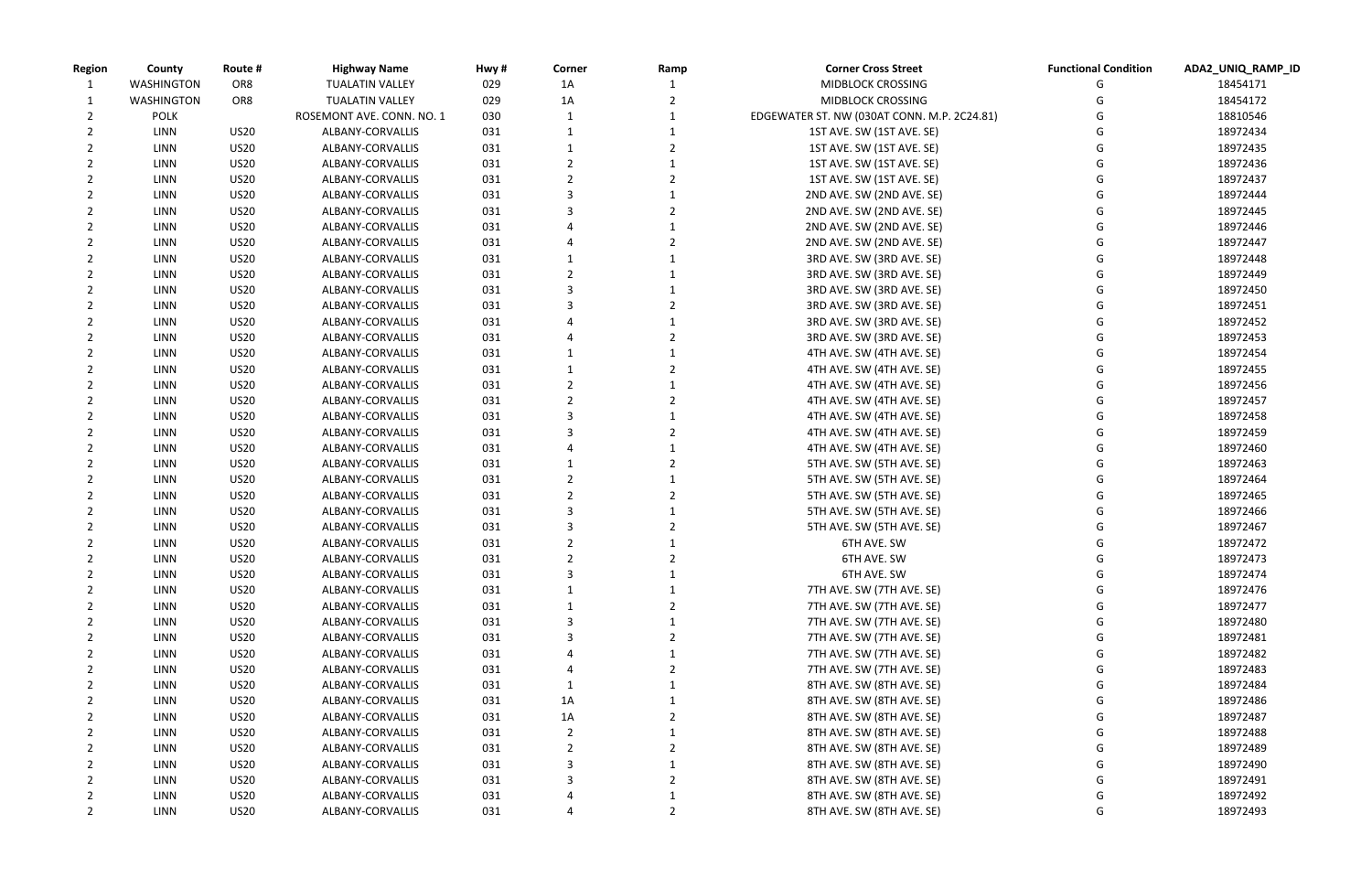| <b>Region</b> | County            | Route #                    | <b>Highway Name</b>                  | Hwy#       | Corner         | Ramp | <b>Corner Cross Street</b>                             | <b>Functional Condition</b> | ADA2_UNIQ_RAMP_ID    |
|---------------|-------------------|----------------------------|--------------------------------------|------------|----------------|------|--------------------------------------------------------|-----------------------------|----------------------|
|               | <b>WASHINGTON</b> | OR8                        | <b>TUALATIN VALLEY</b>               | 029        | 1A             |      | MIDBLOCK CROSSING                                      |                             | 18454171             |
|               | <b>WASHINGTON</b> | OR <sub>8</sub>            | <b>TUALATIN VALLEY</b>               | 029        | 1A             |      | <b>MIDBLOCK CROSSING</b>                               |                             | 18454172             |
|               | <b>POLK</b>       |                            | ROSEMONT AVE. CONN. NO. 1            | 030        |                |      | EDGEWATER ST. NW (030AT CONN. M.P. 2C24.81)            |                             | 18810546             |
|               | <b>LINN</b>       | <b>US20</b>                | ALBANY-CORVALLIS                     | 031        |                |      | 1ST AVE. SW (1ST AVE. SE)                              |                             | 18972434             |
|               | <b>LINN</b>       | <b>US20</b>                | ALBANY-CORVALLIS                     | 031        |                |      | 1ST AVE. SW (1ST AVE. SE)                              |                             | 18972435             |
|               | <b>LINN</b>       | <b>US20</b>                | ALBANY-CORVALLIS                     | 031        |                |      | 1ST AVE. SW (1ST AVE. SE)                              |                             | 18972436             |
|               | <b>LINN</b>       | <b>US20</b>                | ALBANY-CORVALLIS                     | 031        |                |      | 1ST AVE. SW (1ST AVE. SE)                              |                             | 18972437             |
|               | <b>LINN</b>       | <b>US20</b>                | ALBANY-CORVALLIS                     | 031        |                |      | 2ND AVE. SW (2ND AVE. SE)                              |                             | 18972444             |
|               | <b>LINN</b>       | <b>US20</b>                | ALBANY-CORVALLIS                     | 031        |                |      | 2ND AVE. SW (2ND AVE. SE)                              |                             | 18972445             |
|               | <b>LINN</b>       | <b>US20</b>                | ALBANY-CORVALLIS                     | 031        |                |      | 2ND AVE. SW (2ND AVE. SE)                              |                             | 18972446             |
|               | <b>LINN</b>       | <b>US20</b>                | ALBANY-CORVALLIS                     | 031        |                |      | 2ND AVE. SW (2ND AVE. SE)                              |                             | 18972447             |
|               | <b>LINN</b>       | <b>US20</b>                | ALBANY-CORVALLIS                     | 031        |                |      | 3RD AVE. SW (3RD AVE. SE)                              |                             | 18972448             |
|               | <b>LINN</b>       | <b>US20</b>                | ALBANY-CORVALLIS                     | 031        |                |      | 3RD AVE. SW (3RD AVE. SE)                              |                             | 18972449             |
|               | LINN              | <b>US20</b>                | ALBANY-CORVALLIS                     | 031        |                |      | 3RD AVE. SW (3RD AVE. SE)                              |                             | 18972450             |
|               | <b>LINN</b>       | <b>US20</b>                | ALBANY-CORVALLIS                     | 031        |                |      | 3RD AVE. SW (3RD AVE. SE)                              |                             | 18972451             |
|               | <b>LINN</b>       | <b>US20</b>                | ALBANY-CORVALLIS                     | 031        |                |      | 3RD AVE. SW (3RD AVE. SE)                              |                             | 18972452             |
|               | <b>LINN</b>       | <b>US20</b>                | ALBANY-CORVALLIS                     | 031        |                |      | 3RD AVE. SW (3RD AVE. SE)                              |                             | 18972453             |
|               | <b>LINN</b>       | <b>US20</b>                | ALBANY-CORVALLIS                     | 031        |                |      | 4TH AVE. SW (4TH AVE. SE)                              |                             | 18972454             |
|               | <b>LINN</b>       | <b>US20</b>                | ALBANY-CORVALLIS                     | 031        |                |      | 4TH AVE. SW (4TH AVE. SE)                              |                             | 18972455             |
|               | <b>LINN</b>       | <b>US20</b>                | ALBANY-CORVALLIS                     | 031        |                |      | 4TH AVE. SW (4TH AVE. SE)                              |                             | 18972456             |
|               | <b>LINN</b>       | <b>US20</b>                | ALBANY-CORVALLIS                     | 031        |                |      | 4TH AVE. SW (4TH AVE. SE)                              |                             | 18972457             |
|               | <b>LINN</b>       | <b>US20</b>                | ALBANY-CORVALLIS                     | 031        |                |      | 4TH AVE. SW (4TH AVE. SE)                              |                             | 18972458             |
|               | <b>LINN</b>       | <b>US20</b>                | ALBANY-CORVALLIS                     | 031        |                |      | 4TH AVE. SW (4TH AVE. SE)                              |                             | 18972459             |
|               | <b>LINN</b>       | <b>US20</b>                | ALBANY-CORVALLIS                     | 031        |                |      | 4TH AVE. SW (4TH AVE. SE)                              |                             | 18972460             |
|               | <b>LINN</b>       | <b>US20</b>                | ALBANY-CORVALLIS                     | 031        |                |      | 5TH AVE. SW (5TH AVE. SE)                              |                             | 18972463             |
|               | <b>LINN</b>       | <b>US20</b>                | ALBANY-CORVALLIS                     | 031        |                |      | 5TH AVE. SW (5TH AVE. SE)                              |                             | 18972464             |
|               | <b>LINN</b>       | <b>US20</b>                | ALBANY-CORVALLIS                     | 031        |                |      | 5TH AVE. SW (5TH AVE. SE)                              |                             | 18972465             |
|               | <b>LINN</b>       | <b>US20</b>                | ALBANY-CORVALLIS                     | 031        |                |      | 5TH AVE. SW (5TH AVE. SE)                              |                             | 18972466             |
|               | <b>LINN</b>       | <b>US20</b>                | ALBANY-CORVALLIS                     | 031        |                |      | 5TH AVE. SW (5TH AVE. SE)                              |                             | 18972467             |
|               | <b>LINN</b>       | <b>US20</b>                | ALBANY-CORVALLIS                     | 031        |                |      | 6TH AVE. SW                                            |                             | 18972472             |
|               | LINN              | <b>US20</b>                | ALBANY-CORVALLIS                     | 031        |                |      | 6TH AVE. SW                                            |                             | 18972473             |
|               | <b>LINN</b>       | <b>US20</b>                | ALBANY-CORVALLIS                     | 031        | 3              |      | 6TH AVE. SW                                            |                             | 18972474             |
|               | <b>LINN</b>       | <b>US20</b>                | ALBANY-CORVALLIS                     | 031        | -1             |      | 7TH AVE. SW (7TH AVE. SE)                              | G<br>G                      | 18972476             |
|               |                   |                            |                                      |            |                |      |                                                        |                             |                      |
|               | LINN<br>LINN      | <b>US20</b><br><b>US20</b> | ALBANY-CORVALLIS<br>ALBANY-CORVALLIS | 031<br>031 | 3              |      | 7TH AVE. SW (7TH AVE. SE)<br>7TH AVE. SW (7TH AVE. SE) | G<br>G                      | 18972477<br>18972480 |
|               | <b>LINN</b>       |                            |                                      |            |                |      |                                                        |                             |                      |
|               |                   | <b>US20</b>                | ALBANY-CORVALLIS                     | 031        |                |      | 7TH AVE. SW (7TH AVE. SE)                              |                             | 18972481             |
|               | <b>LINN</b>       | <b>US20</b>                | ALBANY-CORVALLIS                     | 031        |                |      | 7TH AVE. SW (7TH AVE. SE)                              | G                           | 18972482             |
|               | <b>LINN</b>       | <b>US20</b>                | ALBANY-CORVALLIS                     | 031        |                |      | 7TH AVE. SW (7TH AVE. SE)                              |                             | 18972483             |
|               | <b>LINN</b>       | <b>US20</b>                | ALBANY-CORVALLIS                     | 031        |                |      | 8TH AVE. SW (8TH AVE. SE)                              |                             | 18972484             |
|               | <b>LINN</b>       | <b>US20</b>                | ALBANY-CORVALLIS                     | 031        | 1A             |      | 8TH AVE. SW (8TH AVE. SE)                              |                             | 18972486             |
|               | LINN              | <b>US20</b>                | ALBANY-CORVALLIS                     | 031        | 1A             |      | 8TH AVE. SW (8TH AVE. SE)                              |                             | 18972487             |
|               | <b>LINN</b>       | <b>US20</b>                | ALBANY-CORVALLIS                     | 031        | $\overline{2}$ |      | 8TH AVE. SW (8TH AVE. SE)                              |                             | 18972488             |
|               | <b>LINN</b>       | <b>US20</b>                | ALBANY-CORVALLIS                     | 031        |                |      | 8TH AVE. SW (8TH AVE. SE)                              |                             | 18972489             |
|               | <b>LINN</b>       | <b>US20</b>                | ALBANY-CORVALLIS                     | 031        | 3              |      | 8TH AVE. SW (8TH AVE. SE)                              |                             | 18972490             |
|               | LINN              | <b>US20</b>                | ALBANY-CORVALLIS                     | 031        | 3              |      | 8TH AVE. SW (8TH AVE. SE)                              |                             | 18972491             |
|               | <b>LINN</b>       | <b>US20</b>                | ALBANY-CORVALLIS                     | 031        |                |      | 8TH AVE. SW (8TH AVE. SE)                              |                             | 18972492             |
|               | LINN              | <b>US20</b>                | ALBANY-CORVALLIS                     | 031        | 4              |      | 8TH AVE. SW (8TH AVE. SE)                              | G                           | 18972493             |

| unctional Condition | ADA2_UNIQ_RAMP_ID |
|---------------------|-------------------|
| G                   | 18454171          |
| G                   | 18454172          |
| G                   | 18810546          |
| G                   | 18972434          |
| G                   | 18972435          |
| G                   | 18972436          |
| G                   | 18972437          |
| G                   | 18972444          |
| G                   | 18972445          |
| G                   | 18972446          |
| G                   | 18972447          |
| G                   | 18972448          |
| G                   | 18972449          |
| G                   | 18972450          |
| G                   | 18972451          |
| G                   | 18972452          |
| G                   | 18972453          |
| G                   | 18972454          |
| G                   | 18972455          |
| G                   | 18972456          |
| G                   | 18972457          |
| G                   | 18972458          |
| G                   | 18972459          |
| G                   | 18972460          |
| G                   | 18972463          |
| G                   | 18972464          |
| G                   | 18972465          |
| G                   | 18972466          |
| G                   | 18972467          |
| G                   | 18972472          |
| G                   | 18972473          |
| G                   | 18972474          |
| G                   | 18972476          |
| G                   | 18972477          |
| G                   | 18972480          |
| G                   | 18972481          |
| G                   | 18972482          |
| G                   | 18972483          |
| G                   | 18972484          |
| G                   | 18972486          |
| G                   | 18972487          |
| G                   | 18972488          |
| G                   | 18972489          |
| G                   | 18972490          |
| G                   | 18972491          |
| G                   | 18972492          |
| G                   | 18972493          |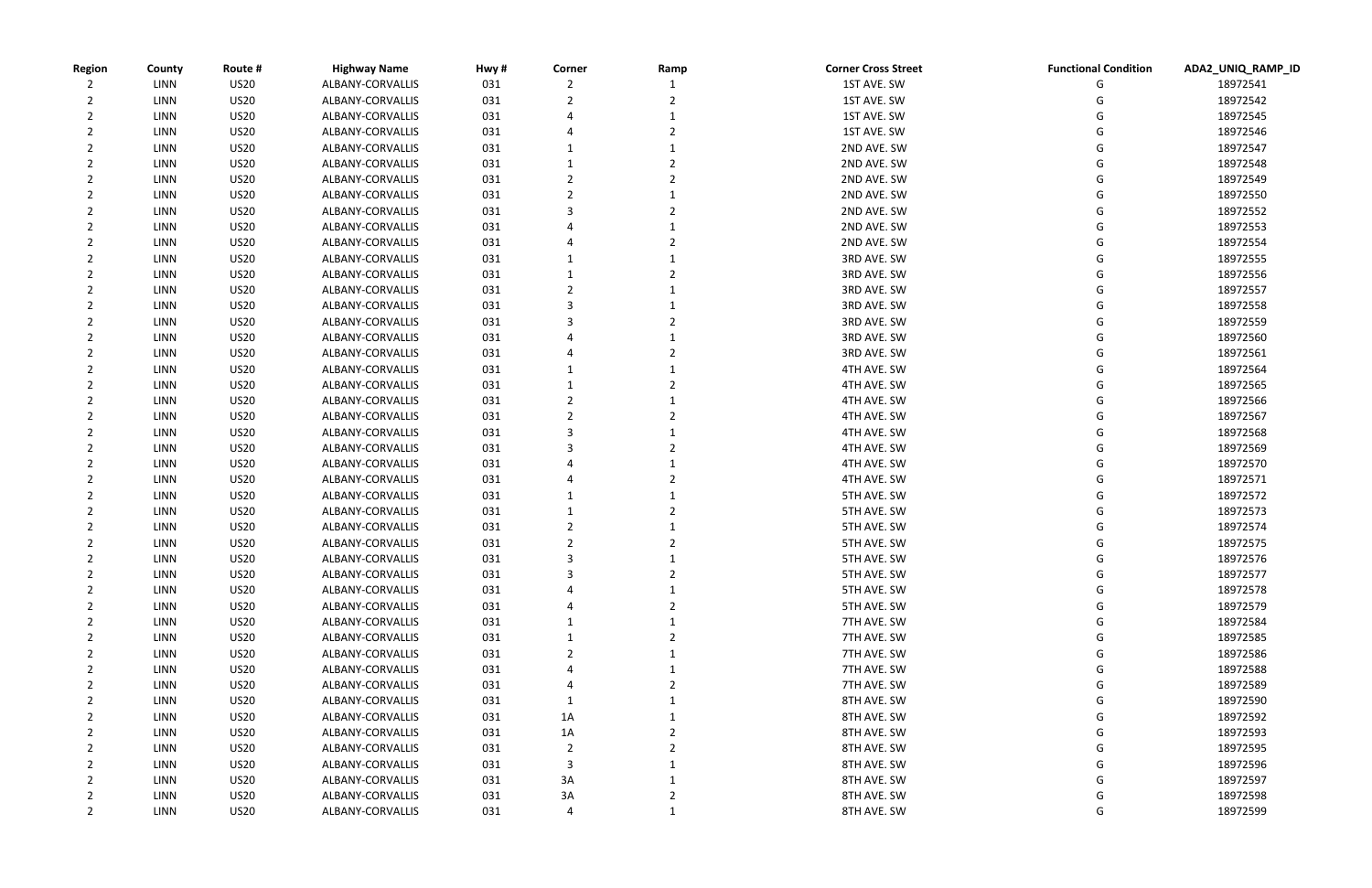| <b>Region</b> | County       | Route #                    | <b>Highway Name</b>                  | Hwy#       | Corner         | Ramp | <b>Corner Cross Street</b> | <b>Functional Condition</b> | ADA2_UNIQ_RAMP_ID    |
|---------------|--------------|----------------------------|--------------------------------------|------------|----------------|------|----------------------------|-----------------------------|----------------------|
|               | LINN         | <b>US20</b>                | ALBANY-CORVALLIS                     | 031        |                |      | 1ST AVE. SW                |                             | 18972541             |
|               | LINN         | <b>US20</b>                | ALBANY-CORVALLIS                     | 031        |                |      | 1ST AVE. SW                |                             | 18972542             |
|               | <b>LINN</b>  | <b>US20</b>                | ALBANY-CORVALLIS                     | 031        |                |      | 1ST AVE. SW                |                             | 18972545             |
|               | LINN         | <b>US20</b>                | ALBANY-CORVALLIS                     | 031        |                |      | 1ST AVE. SW                |                             | 18972546             |
|               | LINN         | <b>US20</b>                | ALBANY-CORVALLIS                     | 031        |                |      | 2ND AVE. SW                |                             | 18972547             |
|               | <b>LINN</b>  | <b>US20</b>                | ALBANY-CORVALLIS                     | 031        |                |      | 2ND AVE. SW                |                             | 18972548             |
|               | LINN         | <b>US20</b>                | ALBANY-CORVALLIS                     | 031        |                |      | 2ND AVE. SW                |                             | 18972549             |
|               | LINN         | <b>US20</b>                | ALBANY-CORVALLIS                     | 031        |                |      | 2ND AVE. SW                |                             | 18972550             |
|               | LINN         | <b>US20</b>                | ALBANY-CORVALLIS                     | 031        |                |      | 2ND AVE. SW                |                             | 18972552             |
|               | <b>LINN</b>  | <b>US20</b>                | ALBANY-CORVALLIS                     | 031        |                |      | 2ND AVE. SW                |                             | 18972553             |
|               | LINN         | <b>US20</b>                | ALBANY-CORVALLIS                     | 031        |                |      | 2ND AVE. SW                |                             | 18972554             |
|               | <b>LINN</b>  | <b>US20</b>                | ALBANY-CORVALLIS                     | 031        |                |      | 3RD AVE. SW                |                             | 18972555             |
|               | <b>LINN</b>  | <b>US20</b>                | ALBANY-CORVALLIS                     | 031        |                |      | 3RD AVE. SW                |                             | 18972556             |
|               | LINN         | <b>US20</b>                | ALBANY-CORVALLIS                     | 031        |                |      | 3RD AVE. SW                |                             | 18972557             |
|               | <b>LINN</b>  | <b>US20</b>                | ALBANY-CORVALLIS                     | 031        |                |      | 3RD AVE. SW                |                             | 18972558             |
|               | LINN         | <b>US20</b>                | ALBANY-CORVALLIS                     | 031        |                |      | 3RD AVE. SW                |                             | 18972559             |
|               | LINN         | <b>US20</b>                | ALBANY-CORVALLIS                     | 031        |                |      | 3RD AVE. SW                |                             | 18972560             |
|               | LINN         | <b>US20</b>                | ALBANY-CORVALLIS                     | 031        |                |      | 3RD AVE. SW                |                             | 18972561             |
|               | LINN         | <b>US20</b>                | ALBANY-CORVALLIS                     | 031        |                |      | 4TH AVE. SW                |                             | 18972564             |
|               | LINN         | <b>US20</b>                | ALBANY-CORVALLIS                     | 031        |                |      | 4TH AVE. SW                |                             | 18972565             |
|               | LINN         | <b>US20</b>                | ALBANY-CORVALLIS                     | 031        |                |      | 4TH AVE. SW                |                             | 18972566             |
|               | LINN         | <b>US20</b>                | ALBANY-CORVALLIS                     | 031        |                |      | 4TH AVE. SW                |                             | 18972567             |
|               | LINN         | <b>US20</b>                | ALBANY-CORVALLIS                     | 031        |                |      | 4TH AVE. SW                |                             | 18972568             |
|               | LINN         | <b>US20</b>                | ALBANY-CORVALLIS                     | 031        |                |      | 4TH AVE. SW                |                             | 18972569             |
|               | LINN         | <b>US20</b>                | ALBANY-CORVALLIS                     | 031        |                |      | 4TH AVE. SW                |                             | 18972570             |
|               | <b>LINN</b>  | <b>US20</b>                | ALBANY-CORVALLIS                     | 031        |                |      | 4TH AVE. SW                |                             | 18972571             |
|               | LINN         | <b>US20</b>                | ALBANY-CORVALLIS                     | 031        |                |      | 5TH AVE. SW                |                             | 18972572             |
|               | LINN         | <b>US20</b>                | ALBANY-CORVALLIS                     | 031        |                |      | 5TH AVE. SW                |                             | 18972573             |
|               | LINN         | <b>US20</b>                | ALBANY-CORVALLIS                     | 031        |                |      | 5TH AVE. SW                |                             | 18972574             |
|               | LINN         | <b>US20</b>                | ALBANY-CORVALLIS                     | 031        |                |      | 5TH AVE. SW                |                             | 18972575             |
|               | LINN         | <b>US20</b>                | ALBANY-CORVALLIS                     | 031        |                |      | 5TH AVE. SW                |                             | 18972576             |
|               | <b>LINN</b>  | <b>US20</b>                | ALBANY-CORVALLIS                     | 031        |                |      | 5TH AVE. SW                | G                           | 18972577             |
|               | <b>LINN</b>  | <b>US20</b>                | ALBANY-CORVALLIS                     | 031        |                |      | 5TH AVE. SW                | G                           | 18972578             |
|               | LINN         | <b>US20</b>                | ALBANY-CORVALLIS                     | 031        |                |      | 5TH AVE. SW                | G                           | 18972579             |
|               | LINN         | <b>US20</b>                | ALBANY-CORVALLIS                     | 031        |                |      | 7TH AVE. SW                |                             | 18972584             |
|               | LINN         | <b>US20</b>                | ALBANY-CORVALLIS                     | 031        |                |      | 7TH AVE. SW                |                             | 18972585             |
|               | LINN         | <b>US20</b>                | ALBANY-CORVALLIS                     | 031        |                |      | 7TH AVE. SW                |                             | 18972586             |
|               | LINN         | <b>US20</b>                | ALBANY-CORVALLIS                     | 031        |                |      | 7TH AVE. SW                |                             | 18972588             |
|               | LINN         | <b>US20</b>                | ALBANY-CORVALLIS                     | 031        |                |      | 7TH AVE. SW                |                             | 18972589             |
|               | LINN         | <b>US20</b>                | ALBANY-CORVALLIS                     | 031        | 1              |      | 8TH AVE. SW                |                             | 18972590             |
|               | LINN         | <b>US20</b>                | ALBANY-CORVALLIS                     | 031        | 1A             |      | 8TH AVE. SW                |                             | 18972592             |
|               |              |                            |                                      |            |                |      |                            |                             |                      |
|               | LINN<br>LINN | <b>US20</b><br><b>US20</b> | ALBANY-CORVALLIS<br>ALBANY-CORVALLIS | 031<br>031 | 1A             |      | 8TH AVE. SW<br>8TH AVE. SW |                             | 18972593<br>18972595 |
|               |              |                            |                                      |            | $\overline{2}$ |      |                            |                             |                      |
|               | <b>LINN</b>  | <b>US20</b>                | ALBANY-CORVALLIS                     | 031        | 3              |      | 8TH AVE. SW                |                             | 18972596             |
|               | LINN         | <b>US20</b>                | ALBANY-CORVALLIS                     | 031        | 3A             |      | 8TH AVE. SW                |                             | 18972597             |
|               | LINN         | <b>US20</b>                | ALBANY-CORVALLIS                     | 031        | 3A             |      | 8TH AVE. SW                |                             | 18972598             |
|               | <b>LINN</b>  | <b>US20</b>                | ALBANY-CORVALLIS                     | 031        | 4              |      | 8TH AVE. SW                | G                           | 18972599             |

| unctional Condition- | ADA2_UNIQ_RAMP_ID |
|----------------------|-------------------|
| G                    | 18972541          |
| G                    | 18972542          |
| G                    | 18972545          |
| G                    | 18972546          |
| G                    | 18972547          |
| G                    | 18972548          |
| G                    | 18972549          |
| G                    | 18972550          |
| G                    | 18972552          |
| G                    | 18972553          |
| G                    | 18972554          |
| G                    | 18972555          |
| G                    | 18972556          |
| G                    | 18972557          |
| G                    | 18972558          |
| G                    | 18972559          |
| G                    | 18972560          |
| G                    | 18972561          |
| G                    | 18972564          |
| G                    | 18972565          |
| G                    | 18972566          |
| G                    | 18972567          |
| G                    | 18972568          |
| G                    | 18972569          |
| G                    | 18972570          |
| G                    | 18972571          |
| G                    | 18972572          |
| G                    | 18972573          |
| G                    | 18972574          |
| G                    | 18972575          |
| G                    | 18972576          |
| G                    | 18972577          |
| G                    | 18972578          |
| G                    | 18972579          |
| G                    | 18972584          |
| G                    | 18972585          |
| G                    | 18972586          |
| G                    | 18972588          |
| G                    | 18972589          |
| G                    | 18972590          |
| G                    | 18972592          |
| G                    | 18972593          |
| G                    | 18972595          |
| G                    | 18972596          |
| G                    | 18972597          |
| G                    | 18972598          |
| G                    | 18972599          |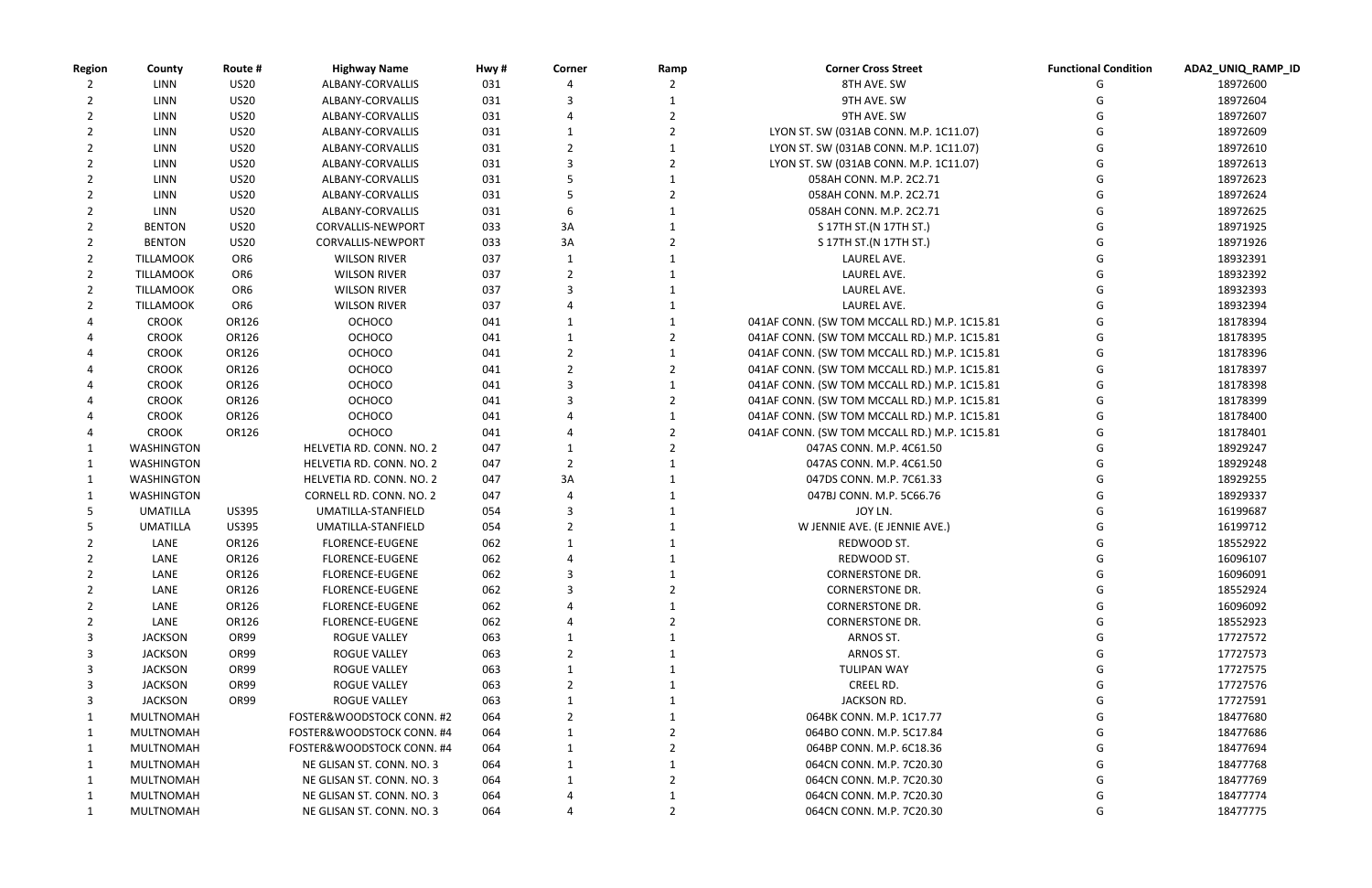|         |   | Functional Condition ADA2_UNIQ_RAMP_ID |
|---------|---|----------------------------------------|
|         | G | 18972600                               |
|         | G | 18972604                               |
|         | G | 18972607                               |
| L.07)   | G | 18972609                               |
| 1.07)   | G | 18972610                               |
| 1.07)   | G | 18972613                               |
|         | G | 18972623                               |
|         | G | 18972624                               |
|         | G | 18972625                               |
|         | G | 18971925                               |
|         | G | 18971926                               |
|         | G | 18932391                               |
|         | G | 18932392                               |
|         | G | 18932393                               |
|         | G | 18932394                               |
| 1C15.81 | G | 18178394                               |
| 1C15.81 | G | 18178395                               |
| 1C15.81 | G | 18178396                               |
| 1C15.81 | G | 18178397                               |
| 1C15.81 | G | 18178398                               |
| 1C15.81 | G | 18178399                               |
| 1C15.81 | G | 18178400                               |
| 1C15.81 | G | 18178401                               |
|         | G | 18929247                               |
|         | G | 18929248                               |
|         | G | 18929255                               |
|         | G | 18929337                               |
|         | G | 16199687                               |
|         | G | 16199712                               |
|         | G | 18552922                               |
|         | G | 16096107                               |
|         | G | 16096091                               |
|         | G | 18552924                               |
|         | G | 16096092                               |
|         | G | 18552923                               |
|         | G | 17727572                               |
|         | G | 17727573                               |
|         | G | 17727575                               |
|         | G | 17727576                               |
|         | G | 17727591                               |
|         | G | 18477680                               |
|         | G | 18477686                               |
|         | G | 18477694                               |
|         | G | 18477768                               |
|         | G | 18477769                               |
|         | G | 18477774                               |
|         | G |                                        |
|         |   | 18477775                               |

| <b>Region</b> | County           | Route #         | <b>Highway Name</b>       | Hwy# | Corner         | Ramp | <b>Corner Cross Street</b>                   | <b>Functional Condition</b> | ADA2_UNIQ_RA |
|---------------|------------------|-----------------|---------------------------|------|----------------|------|----------------------------------------------|-----------------------------|--------------|
|               | <b>LINN</b>      | <b>US20</b>     | ALBANY-CORVALLIS          | 031  |                |      | 8TH AVE. SW                                  |                             | 18972600     |
|               | <b>LINN</b>      | <b>US20</b>     | ALBANY-CORVALLIS          | 031  |                |      | 9TH AVE. SW                                  |                             | 18972604     |
|               | <b>LINN</b>      | <b>US20</b>     | ALBANY-CORVALLIS          | 031  |                |      | 9TH AVE. SW                                  |                             | 18972607     |
|               | <b>LINN</b>      | <b>US20</b>     | ALBANY-CORVALLIS          | 031  |                |      | LYON ST. SW (031AB CONN. M.P. 1C11.07)       |                             | 18972609     |
|               | LINN             | <b>US20</b>     | ALBANY-CORVALLIS          | 031  |                |      | LYON ST. SW (031AB CONN. M.P. 1C11.07)       |                             | 18972610     |
|               | LINN             | <b>US20</b>     | ALBANY-CORVALLIS          | 031  | 3              |      | LYON ST. SW (031AB CONN. M.P. 1C11.07)       |                             | 18972613     |
|               | <b>LINN</b>      | <b>US20</b>     | ALBANY-CORVALLIS          | 031  |                |      | 058AH CONN. M.P. 2C2.71                      |                             | 18972623     |
|               | LINN             | <b>US20</b>     | ALBANY-CORVALLIS          | 031  |                |      | 058AH CONN. M.P. 2C2.71                      |                             | 18972624     |
|               | <b>LINN</b>      | <b>US20</b>     | ALBANY-CORVALLIS          | 031  | 6              |      | 058AH CONN. M.P. 2C2.71                      |                             | 18972625     |
|               | <b>BENTON</b>    | <b>US20</b>     | <b>CORVALLIS-NEWPORT</b>  | 033  | 3A             |      | S 17TH ST. (N 17TH ST.)                      |                             | 18971925     |
|               | <b>BENTON</b>    | <b>US20</b>     | <b>CORVALLIS-NEWPORT</b>  | 033  | 3A             |      | S 17TH ST. (N 17TH ST.)                      |                             | 18971926     |
|               | <b>TILLAMOOK</b> | OR <sub>6</sub> | <b>WILSON RIVER</b>       | 037  |                |      | LAUREL AVE.                                  |                             | 18932391     |
|               | <b>TILLAMOOK</b> | OR <sub>6</sub> | <b>WILSON RIVER</b>       | 037  |                |      | LAUREL AVE.                                  |                             | 18932392     |
| 2             | <b>TILLAMOOK</b> | OR <sub>6</sub> | <b>WILSON RIVER</b>       | 037  | 3              |      | LAUREL AVE.                                  |                             | 18932393     |
|               | <b>TILLAMOOK</b> | OR <sub>6</sub> | <b>WILSON RIVER</b>       | 037  |                |      | LAUREL AVE.                                  |                             | 18932394     |
|               | <b>CROOK</b>     | OR126           | <b>OCHOCO</b>             | 041  |                |      | 041AF CONN. (SW TOM MCCALL RD.) M.P. 1C15.81 |                             | 18178394     |
|               | <b>CROOK</b>     | OR126           | <b>OCHOCO</b>             | 041  |                |      | 041AF CONN. (SW TOM MCCALL RD.) M.P. 1C15.81 |                             | 18178395     |
|               | <b>CROOK</b>     | OR126           | <b>OCHOCO</b>             | 041  |                |      | 041AF CONN. (SW TOM MCCALL RD.) M.P. 1C15.81 |                             | 18178396     |
|               | <b>CROOK</b>     | OR126           | <b>OCHOCO</b>             | 041  |                |      | 041AF CONN. (SW TOM MCCALL RD.) M.P. 1C15.81 |                             | 18178397     |
|               | <b>CROOK</b>     | OR126           | <b>OCHOCO</b>             | 041  | 3              |      | 041AF CONN. (SW TOM MCCALL RD.) M.P. 1C15.81 |                             | 18178398     |
|               | <b>CROOK</b>     | OR126           | <b>OCHOCO</b>             | 041  |                |      | 041AF CONN. (SW TOM MCCALL RD.) M.P. 1C15.81 |                             | 18178399     |
|               | <b>CROOK</b>     | OR126           | <b>OCHOCO</b>             | 041  |                |      | 041AF CONN. (SW TOM MCCALL RD.) M.P. 1C15.81 |                             | 18178400     |
|               | <b>CROOK</b>     | OR126           | <b>OCHOCO</b>             | 041  |                |      | 041AF CONN. (SW TOM MCCALL RD.) M.P. 1C15.81 |                             | 18178401     |
|               | WASHINGTON       |                 | HELVETIA RD. CONN. NO. 2  | 047  |                |      | 047AS CONN. M.P. 4C61.50                     |                             | 18929247     |
|               | WASHINGTON       |                 | HELVETIA RD. CONN. NO. 2  | 047  | $\overline{2}$ |      | 047AS CONN. M.P. 4C61.50                     |                             | 18929248     |
|               | WASHINGTON       |                 | HELVETIA RD. CONN. NO. 2  | 047  | 3A             |      | 047DS CONN. M.P. 7C61.33                     |                             | 18929255     |
|               | WASHINGTON       |                 | CORNELL RD. CONN. NO. 2   | 047  |                |      | 047BJ CONN. M.P. 5C66.76                     |                             | 18929337     |
|               | <b>UMATILLA</b>  | <b>US395</b>    | UMATILLA-STANFIELD        | 054  |                |      | JOY LN.                                      |                             | 16199687     |
|               | <b>UMATILLA</b>  | <b>US395</b>    | UMATILLA-STANFIELD        | 054  |                |      | W JENNIE AVE. (E JENNIE AVE.)                |                             | 16199712     |
|               | LANE             | OR126           | <b>FLORENCE-EUGENE</b>    | 062  |                |      | REDWOOD ST.                                  |                             | 18552922     |
|               | LANE             | OR126           | <b>FLORENCE-EUGENE</b>    | 062  |                |      | REDWOOD ST.                                  |                             | 16096107     |
|               | LANE             | OR126           | <b>FLORENCE-EUGENE</b>    | 062  |                |      | <b>CORNERSTONE DR.</b>                       |                             | 16096091     |
|               | LANE             | OR126           | <b>FLORENCE-EUGENE</b>    | 062  |                |      | <b>CORNERSTONE DR.</b>                       |                             | 18552924     |
|               | LANE             | OR126           | <b>FLORENCE-EUGENE</b>    | 062  |                |      | <b>CORNERSTONE DR.</b>                       |                             | 16096092     |
|               | LANE             | OR126           | <b>FLORENCE-EUGENE</b>    | 062  |                |      | <b>CORNERSTONE DR.</b>                       |                             | 18552923     |
|               | <b>JACKSON</b>   | OR99            | ROGUE VALLEY              | 063  |                |      | ARNOS ST.                                    |                             | 17727572     |
| 3             | <b>JACKSON</b>   | OR99            | <b>ROGUE VALLEY</b>       | 063  |                |      | ARNOS ST.                                    |                             | 17727573     |
| 3             | <b>JACKSON</b>   | OR99            | ROGUE VALLEY              | 063  |                |      | <b>TULIPAN WAY</b>                           |                             | 17727575     |
| 3             | <b>JACKSON</b>   | OR99            | ROGUE VALLEY              | 063  |                |      | CREEL RD.                                    |                             | 17727576     |
| 3             | <b>JACKSON</b>   | OR99            | ROGUE VALLEY              | 063  |                |      | JACKSON RD.                                  |                             | 17727591     |
|               | <b>MULTNOMAH</b> |                 | FOSTER&WOODSTOCK CONN. #2 | 064  |                |      | 064BK CONN. M.P. 1C17.77                     |                             | 18477680     |
|               | MULTNOMAH        |                 | FOSTER&WOODSTOCK CONN. #4 | 064  |                |      | 064BO CONN. M.P. 5C17.84                     |                             | 18477686     |
|               | MULTNOMAH        |                 | FOSTER&WOODSTOCK CONN. #4 | 064  |                |      | 064BP CONN. M.P. 6C18.36                     |                             | 18477694     |
|               | MULTNOMAH        |                 | NE GLISAN ST. CONN. NO. 3 | 064  |                |      | 064CN CONN. M.P. 7C20.30                     |                             | 18477768     |
|               | MULTNOMAH        |                 | NE GLISAN ST. CONN. NO. 3 | 064  |                |      | 064CN CONN. M.P. 7C20.30                     |                             | 18477769     |
|               | MULTNOMAH        |                 | NE GLISAN ST. CONN. NO. 3 | 064  |                |      | 064CN CONN. M.P. 7C20.30                     |                             | 18477774     |
|               | MULTNOMAH        |                 | NE GLISAN ST. CONN. NO. 3 | 064  |                |      | 064CN CONN. M.P. 7C20.30                     | G                           | 18477775     |
|               |                  |                 |                           |      |                |      |                                              |                             |              |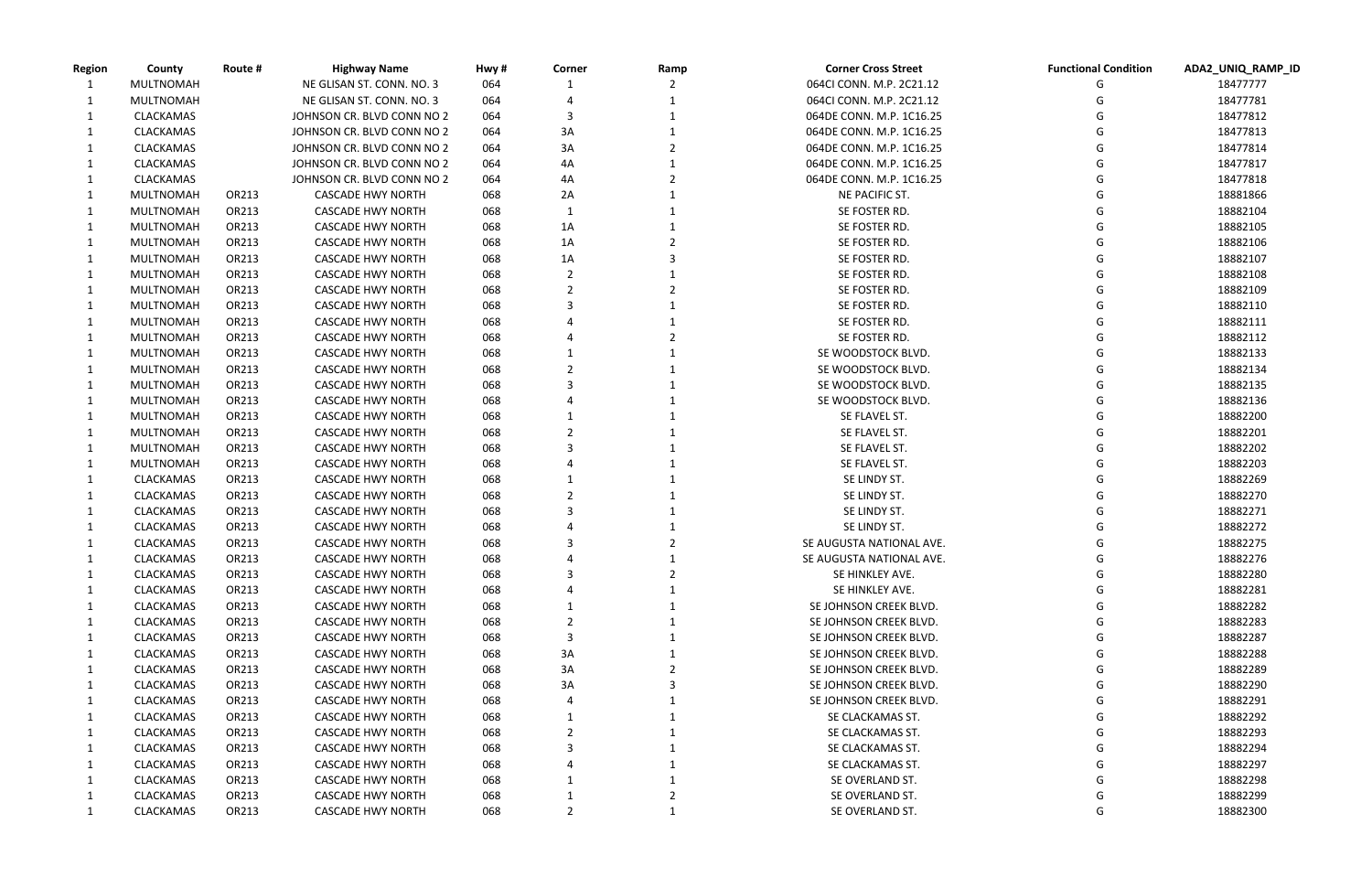| unctional Condition | ADA2_UNIQ_RAMP_ID |
|---------------------|-------------------|
| G                   | 18477777          |
| G                   | 18477781          |
| G                   | 18477812          |
| G                   | 18477813          |
| G                   | 18477814          |
| G                   | 18477817          |
| G                   | 18477818          |
| G                   | 18881866          |
| G                   | 18882104          |
| G                   | 18882105          |
| G                   | 18882106          |
| G                   | 18882107          |
| G                   | 18882108          |
| G                   | 18882109          |
| G                   | 18882110          |
| G                   | 18882111          |
| G                   | 18882112          |
| G                   | 18882133          |
| G                   | 18882134          |
| G                   | 18882135          |
| G                   | 18882136          |
| G                   | 18882200          |
| G                   | 18882201          |
| G                   | 18882202          |
| G                   | 18882203          |
| G                   | 18882269          |
| G                   | 18882270          |
| G                   | 18882271          |
| G                   | 18882272          |
| G                   | 18882275          |
| G                   | 18882276          |
| G                   | 18882280          |
| G                   | 18882281          |
| G                   | 18882282          |
| G                   | 18882283          |
| G                   | 18882287          |
| G                   | 18882288          |
| G                   | 18882289          |
| G                   | 18882290          |
| G                   | 18882291          |
| G                   | 18882292          |
| G                   | 18882293          |
| G                   | 18882294          |
| G                   | 18882297          |
| G                   | 18882298          |
| G                   | 18882299          |
| G                   | 18882300          |
|                     |                   |

| <b>Region</b> | County           | Route # | <b>Highway Name</b>        | Hwy# | Corner | Ramp | <b>Corner Cross Street</b> | <b>Functional Condition</b> | ADA2_UNIQ_RAMP_ID |
|---------------|------------------|---------|----------------------------|------|--------|------|----------------------------|-----------------------------|-------------------|
|               | MULTNOMAH        |         | NE GLISAN ST. CONN. NO. 3  | 064  |        |      | 064CI CONN. M.P. 2C21.12   |                             | 18477777          |
|               | MULTNOMAH        |         | NE GLISAN ST. CONN. NO. 3  | 064  |        |      | 064CI CONN. M.P. 2C21.12   |                             | 18477781          |
|               | CLACKAMAS        |         | JOHNSON CR. BLVD CONN NO 2 | 064  |        |      | 064DE CONN. M.P. 1C16.25   |                             | 18477812          |
|               | CLACKAMAS        |         | JOHNSON CR. BLVD CONN NO 2 | 064  | 3A     |      | 064DE CONN. M.P. 1C16.25   |                             | 18477813          |
|               | CLACKAMAS        |         | JOHNSON CR. BLVD CONN NO 2 | 064  | 3A     |      | 064DE CONN. M.P. 1C16.25   |                             | 18477814          |
|               | CLACKAMAS        |         | JOHNSON CR. BLVD CONN NO 2 | 064  | 4A     |      | 064DE CONN. M.P. 1C16.25   |                             | 18477817          |
|               | CLACKAMAS        |         | JOHNSON CR. BLVD CONN NO 2 | 064  | 4A     |      | 064DE CONN. M.P. 1C16.25   |                             | 18477818          |
|               | MULTNOMAH        | OR213   | <b>CASCADE HWY NORTH</b>   | 068  | 2A     |      | NE PACIFIC ST.             |                             | 18881866          |
|               | MULTNOMAH        | OR213   | <b>CASCADE HWY NORTH</b>   | 068  | -1     |      | SE FOSTER RD.              |                             | 18882104          |
|               | MULTNOMAH        | OR213   | <b>CASCADE HWY NORTH</b>   | 068  | 1A     |      | SE FOSTER RD.              |                             | 18882105          |
|               | MULTNOMAH        | OR213   | <b>CASCADE HWY NORTH</b>   | 068  | 1A     |      | SE FOSTER RD.              |                             | 18882106          |
|               | MULTNOMAH        | OR213   | <b>CASCADE HWY NORTH</b>   | 068  | 1A     |      | SE FOSTER RD.              |                             | 18882107          |
|               | MULTNOMAH        | OR213   | <b>CASCADE HWY NORTH</b>   | 068  |        |      | SE FOSTER RD.              |                             | 18882108          |
|               | MULTNOMAH        | OR213   | <b>CASCADE HWY NORTH</b>   | 068  |        |      | SE FOSTER RD.              |                             | 18882109          |
|               | MULTNOMAH        | OR213   | <b>CASCADE HWY NORTH</b>   | 068  |        |      | SE FOSTER RD.              |                             | 18882110          |
|               | MULTNOMAH        | OR213   | <b>CASCADE HWY NORTH</b>   | 068  |        |      | SE FOSTER RD.              |                             | 18882111          |
|               | MULTNOMAH        | OR213   | <b>CASCADE HWY NORTH</b>   | 068  |        |      | SE FOSTER RD.              |                             | 18882112          |
|               | MULTNOMAH        | OR213   | <b>CASCADE HWY NORTH</b>   | 068  |        |      | SE WOODSTOCK BLVD.         |                             | 18882133          |
|               | MULTNOMAH        | OR213   | <b>CASCADE HWY NORTH</b>   | 068  |        |      | SE WOODSTOCK BLVD.         |                             | 18882134          |
|               | MULTNOMAH        | OR213   | <b>CASCADE HWY NORTH</b>   | 068  |        |      | SE WOODSTOCK BLVD.         |                             | 18882135          |
|               | MULTNOMAH        | OR213   | <b>CASCADE HWY NORTH</b>   | 068  |        |      | SE WOODSTOCK BLVD.         |                             | 18882136          |
|               | MULTNOMAH        | OR213   | <b>CASCADE HWY NORTH</b>   | 068  |        |      | SE FLAVEL ST.              |                             | 18882200          |
|               | MULTNOMAH        | OR213   | <b>CASCADE HWY NORTH</b>   | 068  |        |      | SE FLAVEL ST.              |                             | 18882201          |
|               | MULTNOMAH        | OR213   | <b>CASCADE HWY NORTH</b>   | 068  |        |      | SE FLAVEL ST.              |                             | 18882202          |
|               | MULTNOMAH        | OR213   | <b>CASCADE HWY NORTH</b>   | 068  |        |      | SE FLAVEL ST.              |                             | 18882203          |
|               | CLACKAMAS        | OR213   | <b>CASCADE HWY NORTH</b>   | 068  |        |      | SE LINDY ST.               |                             | 18882269          |
|               | CLACKAMAS        | OR213   | <b>CASCADE HWY NORTH</b>   | 068  |        |      | SE LINDY ST.               |                             | 18882270          |
|               | CLACKAMAS        | OR213   | <b>CASCADE HWY NORTH</b>   | 068  |        |      | SE LINDY ST.               |                             | 18882271          |
|               | CLACKAMAS        | OR213   | <b>CASCADE HWY NORTH</b>   | 068  |        |      | SE LINDY ST.               |                             | 18882272          |
|               | CLACKAMAS        | OR213   | <b>CASCADE HWY NORTH</b>   | 068  |        |      | SE AUGUSTA NATIONAL AVE.   |                             | 18882275          |
|               | <b>CLACKAMAS</b> | OR213   | <b>CASCADE HWY NORTH</b>   | 068  |        |      | SE AUGUSTA NATIONAL AVE.   |                             | 18882276          |
|               | <b>CLACKAMAS</b> | OR213   | <b>CASCADE HWY NORTH</b>   | 068  |        |      | SE HINKLEY AVE.            | G                           | 18882280          |
|               | CLACKAMAS        | OR213   | <b>CASCADE HWY NORTH</b>   | 068  |        |      | SE HINKLEY AVE.            |                             | 18882281          |
|               | CLACKAMAS        | OR213   | <b>CASCADE HWY NORTH</b>   | 068  |        |      | SE JOHNSON CREEK BLVD.     |                             | 18882282          |
|               | CLACKAMAS        | OR213   | <b>CASCADE HWY NORTH</b>   | 068  |        |      | SE JOHNSON CREEK BLVD.     |                             | 18882283          |
|               |                  | OR213   |                            | 068  | 3      |      | SE JOHNSON CREEK BLVD.     |                             | 18882287          |
|               | CLACKAMAS        |         | <b>CASCADE HWY NORTH</b>   |      |        |      |                            |                             |                   |
|               | CLACKAMAS        | OR213   | <b>CASCADE HWY NORTH</b>   | 068  | 3A     |      | SE JOHNSON CREEK BLVD.     |                             | 18882288          |
|               | CLACKAMAS        | OR213   | <b>CASCADE HWY NORTH</b>   | 068  | 3A     |      | SE JOHNSON CREEK BLVD.     |                             | 18882289          |
|               | CLACKAMAS        | OR213   | <b>CASCADE HWY NORTH</b>   | 068  | 3A     |      | SE JOHNSON CREEK BLVD.     |                             | 18882290          |
|               | CLACKAMAS        | OR213   | <b>CASCADE HWY NORTH</b>   | 068  |        |      | SE JOHNSON CREEK BLVD.     |                             | 18882291          |
|               | CLACKAMAS        | OR213   | <b>CASCADE HWY NORTH</b>   | 068  |        |      | SE CLACKAMAS ST.           |                             | 18882292          |
|               | CLACKAMAS        | OR213   | <b>CASCADE HWY NORTH</b>   | 068  |        |      | SE CLACKAMAS ST.           |                             | 18882293          |
|               | CLACKAMAS        | OR213   | <b>CASCADE HWY NORTH</b>   | 068  |        |      | SE CLACKAMAS ST.           |                             | 18882294          |
|               | CLACKAMAS        | OR213   | <b>CASCADE HWY NORTH</b>   | 068  |        |      | SE CLACKAMAS ST.           |                             | 18882297          |
|               | CLACKAMAS        | OR213   | <b>CASCADE HWY NORTH</b>   | 068  |        |      | SE OVERLAND ST.            |                             | 18882298          |
|               | CLACKAMAS        | OR213   | <b>CASCADE HWY NORTH</b>   | 068  |        |      | SE OVERLAND ST.            |                             | 18882299          |
|               | CLACKAMAS        | OR213   | <b>CASCADE HWY NORTH</b>   | 068  | 2      |      | SE OVERLAND ST.            |                             | 18882300          |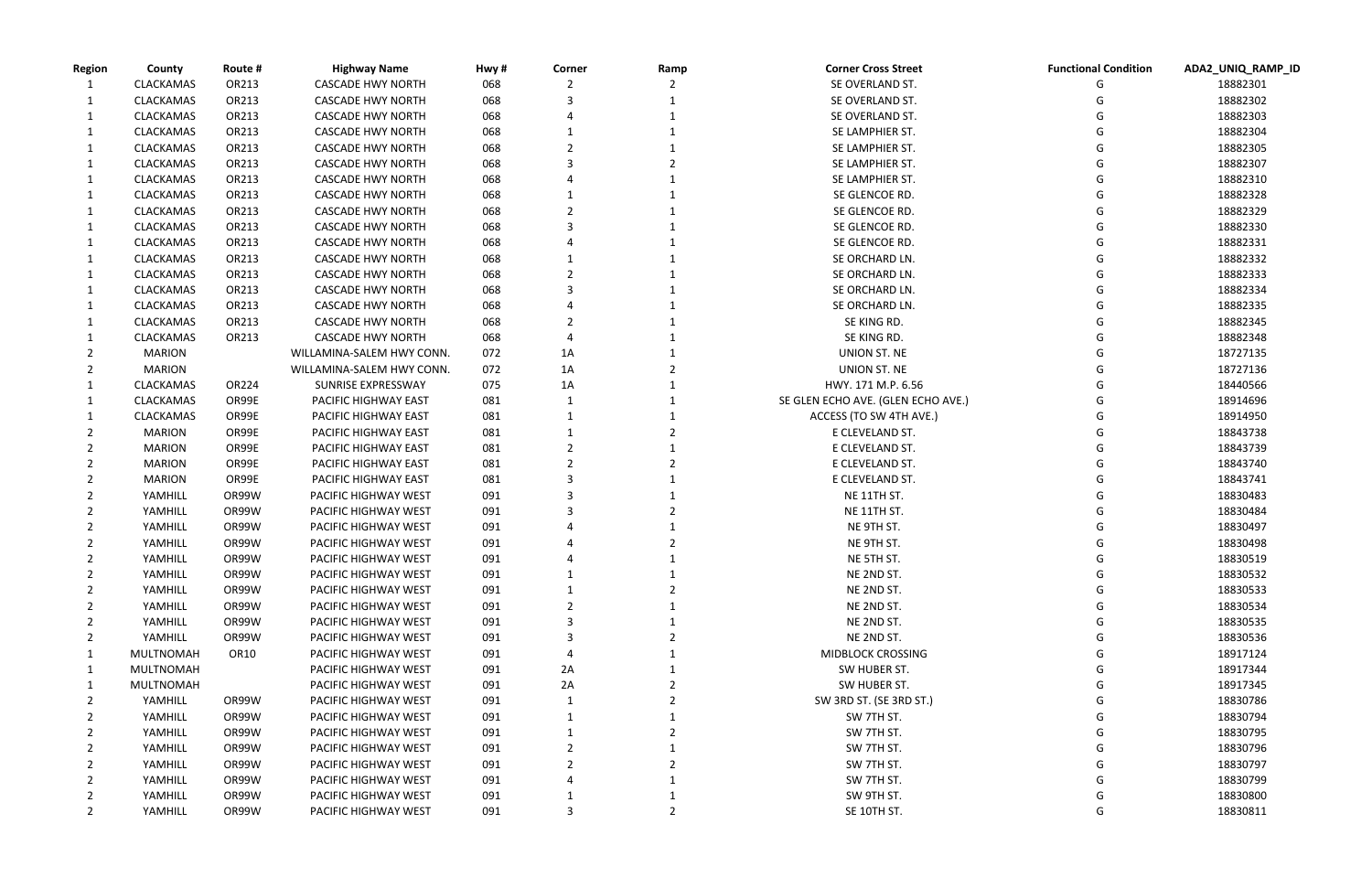|      |   | Functional Condition ADA2_UNIQ_RAMP_ID |
|------|---|----------------------------------------|
|      | G | 18882301                               |
|      | G | 18882302                               |
|      | G | 18882303                               |
|      | G | 18882304                               |
|      | G | 18882305                               |
|      | G | 18882307                               |
|      | G | 18882310                               |
|      | G | 18882328                               |
|      | G | 18882329                               |
|      | G | 18882330                               |
|      | G | 18882331                               |
|      | G | 18882332                               |
|      | G | 18882333                               |
|      | G | 18882334                               |
|      | G | 18882335                               |
|      | G | 18882345                               |
|      | G | 18882348                               |
|      | G | 18727135                               |
|      | G | 18727136                               |
|      | G | 18440566                               |
| 'E.) | G | 18914696                               |
|      | G | 18914950                               |
|      | G | 18843738                               |
|      | G | 18843739                               |
|      | G | 18843740                               |
|      | G | 18843741                               |
|      | G | 18830483                               |
|      | G | 18830484                               |
|      | G | 18830497                               |
|      | G | 18830498                               |
|      | G | 18830519                               |
|      | G | 18830532                               |
|      | G | 18830533                               |
|      | G | 18830534                               |
|      | G | 18830535                               |
|      | G | 18830536                               |
|      | G | 18917124                               |
|      | G | 18917344                               |
|      | G | 18917345                               |
|      | G | 18830786                               |
|      | G | 18830794                               |
|      | G | 18830795                               |
|      | G | 18830796                               |
|      | G | 18830797                               |
|      | G | 18830799                               |
|      | G | 18830800                               |
|      | G | 18830811                               |
|      |   |                                        |

| <b>Region</b> | County           | Route #          | <b>Highway Name</b>       | Hwy#       | Corner | Ramp | <b>Corner Cross Street</b>         | <b>Functional Condition</b> | ADA2_UNIQ_RA |
|---------------|------------------|------------------|---------------------------|------------|--------|------|------------------------------------|-----------------------------|--------------|
|               | CLACKAMAS        | OR213            | <b>CASCADE HWY NORTH</b>  | 068        |        |      | SE OVERLAND ST.                    |                             | 18882301     |
|               | CLACKAMAS        | OR213            | <b>CASCADE HWY NORTH</b>  | 068        |        |      | SE OVERLAND ST.                    |                             | 18882302     |
| 1             | CLACKAMAS        | OR213            | <b>CASCADE HWY NORTH</b>  | 068        |        |      | SE OVERLAND ST.                    |                             | 18882303     |
|               | CLACKAMAS        | OR213            | <b>CASCADE HWY NORTH</b>  | 068        |        |      | SE LAMPHIER ST.                    |                             | 18882304     |
|               | CLACKAMAS        | OR213            | <b>CASCADE HWY NORTH</b>  | 068        |        |      | SE LAMPHIER ST.                    |                             | 18882305     |
|               | CLACKAMAS        | OR213            | <b>CASCADE HWY NORTH</b>  | 068        |        |      | SE LAMPHIER ST.                    |                             | 18882307     |
|               | <b>CLACKAMAS</b> | OR213            | <b>CASCADE HWY NORTH</b>  | 068        |        |      | SE LAMPHIER ST.                    |                             | 18882310     |
|               | CLACKAMAS        | OR213            | <b>CASCADE HWY NORTH</b>  | 068        |        |      | SE GLENCOE RD.                     |                             | 18882328     |
|               | CLACKAMAS        | OR213            | <b>CASCADE HWY NORTH</b>  | 068        |        |      | SE GLENCOE RD.                     |                             | 18882329     |
|               | CLACKAMAS        | OR213            | <b>CASCADE HWY NORTH</b>  | 068        |        |      | SE GLENCOE RD.                     |                             | 18882330     |
|               | <b>CLACKAMAS</b> | OR213            | <b>CASCADE HWY NORTH</b>  | 068        |        |      | SE GLENCOE RD.                     |                             | 18882331     |
|               | <b>CLACKAMAS</b> | OR213            | <b>CASCADE HWY NORTH</b>  | 068        |        |      | SE ORCHARD LN.                     |                             | 18882332     |
|               | CLACKAMAS        | OR213            | <b>CASCADE HWY NORTH</b>  | 068        |        |      | SE ORCHARD LN.                     |                             | 18882333     |
|               | CLACKAMAS        | OR213            | <b>CASCADE HWY NORTH</b>  | 068        | 3      |      | SE ORCHARD LN.                     |                             | 18882334     |
|               | CLACKAMAS        | OR213            | <b>CASCADE HWY NORTH</b>  | 068        |        |      | SE ORCHARD LN.                     |                             | 18882335     |
|               | <b>CLACKAMAS</b> | OR213            | <b>CASCADE HWY NORTH</b>  | 068        |        |      | SE KING RD.                        |                             | 18882345     |
|               | <b>CLACKAMAS</b> | OR213            | <b>CASCADE HWY NORTH</b>  | 068        |        |      | SE KING RD.                        |                             | 18882348     |
|               | <b>MARION</b>    |                  | WILLAMINA-SALEM HWY CONN. | 072        | 1A     |      | UNION ST. NE                       |                             | 18727135     |
|               | <b>MARION</b>    |                  | WILLAMINA-SALEM HWY CONN. | 072        | 1A     |      | UNION ST. NE                       |                             | 18727136     |
| 1             | <b>CLACKAMAS</b> | OR224            | SUNRISE EXPRESSWAY        | 075        | 1A     |      | HWY. 171 M.P. 6.56                 |                             | 18440566     |
|               | CLACKAMAS        | OR99E            | PACIFIC HIGHWAY EAST      | 081        |        |      | SE GLEN ECHO AVE. (GLEN ECHO AVE.) |                             | 18914696     |
|               | CLACKAMAS        | OR99E            | PACIFIC HIGHWAY EAST      | 081        |        |      | ACCESS (TO SW 4TH AVE.)            |                             | 18914950     |
|               | <b>MARION</b>    | OR99E            | PACIFIC HIGHWAY EAST      | 081        |        |      | E CLEVELAND ST.                    |                             | 18843738     |
|               | <b>MARION</b>    | OR99E            | PACIFIC HIGHWAY EAST      | 081        |        |      | E CLEVELAND ST.                    |                             | 18843739     |
|               | <b>MARION</b>    | OR99E            | PACIFIC HIGHWAY EAST      | 081        |        |      | E CLEVELAND ST.                    |                             | 18843740     |
|               | <b>MARION</b>    | OR99E            | PACIFIC HIGHWAY EAST      | 081        |        |      | E CLEVELAND ST.                    |                             | 18843741     |
|               | YAMHILL          | OR99W            | PACIFIC HIGHWAY WEST      | 091        |        |      | NE 11TH ST.                        |                             | 18830483     |
|               | YAMHILL          | OR99W            | PACIFIC HIGHWAY WEST      | 091        |        |      | NE 11TH ST.                        |                             | 18830484     |
|               | YAMHILL          | OR99W            | PACIFIC HIGHWAY WEST      | 091        |        |      | NE 9TH ST.                         |                             | 18830497     |
|               | YAMHILL          | OR99W            | PACIFIC HIGHWAY WEST      | 091        |        |      | NE 9TH ST.                         |                             | 18830498     |
|               | YAMHILL          | OR99W            | PACIFIC HIGHWAY WEST      | 091        |        |      | NE 5TH ST.                         |                             | 18830519     |
| 2             | YAMHILL          | OR99W            | PACIFIC HIGHWAY WEST      | 091        |        |      | NE 2ND ST.                         |                             | 18830532     |
|               | YAMHILL          | OR99W            | PACIFIC HIGHWAY WEST      | 091        |        |      | NE 2ND ST.                         |                             | 18830533     |
|               | YAMHILL          | OR99W            | PACIFIC HIGHWAY WEST      | 091        |        |      | NE 2ND ST.                         |                             | 18830534     |
|               | YAMHILL          | OR99W            | PACIFIC HIGHWAY WEST      | 091        |        |      | NE 2ND ST.                         |                             | 18830535     |
|               | YAMHILL          | OR99W            | PACIFIC HIGHWAY WEST      | 091        |        |      | NE 2ND ST.                         |                             | 18830536     |
|               | MULTNOMAH        | OR <sub>10</sub> | PACIFIC HIGHWAY WEST      | 091        |        |      | MIDBLOCK CROSSING                  |                             | 18917124     |
| 1             | MULTNOMAH        |                  | PACIFIC HIGHWAY WEST      | 091        | 2A     |      | SW HUBER ST.                       |                             | 18917344     |
|               | MULTNOMAH        |                  | PACIFIC HIGHWAY WEST      | 091        | 2A     |      | SW HUBER ST.                       |                             | 18917345     |
|               | YAMHILL          | OR99W            | PACIFIC HIGHWAY WEST      | 091        |        |      | SW 3RD ST. (SE 3RD ST.)            |                             | 18830786     |
|               | YAMHILL          | OR99W            | PACIFIC HIGHWAY WEST      | 091        |        |      | SW 7TH ST.                         |                             | 18830794     |
|               | YAMHILL          | OR99W            | PACIFIC HIGHWAY WEST      | 091        |        |      | SW 7TH ST.                         |                             | 18830795     |
|               | YAMHILL          | OR99W            | PACIFIC HIGHWAY WEST      | 091        |        |      | SW 7TH ST.                         |                             | 18830796     |
|               | YAMHILL          | OR99W            | PACIFIC HIGHWAY WEST      |            |        |      | SW 7TH ST.                         |                             | 18830797     |
|               | YAMHILL          | OR99W            | PACIFIC HIGHWAY WEST      | 091<br>091 |        |      | SW 7TH ST.                         |                             | 18830799     |
|               |                  | OR99W            |                           |            |        |      | SW 9TH ST.                         |                             | 18830800     |
|               | YAMHILL          |                  | PACIFIC HIGHWAY WEST      | 091        | 3      |      |                                    |                             |              |
|               | YAMHILL          | OR99W            | PACIFIC HIGHWAY WEST      | 091        |        |      | SE 10TH ST.                        | G                           | 18830811     |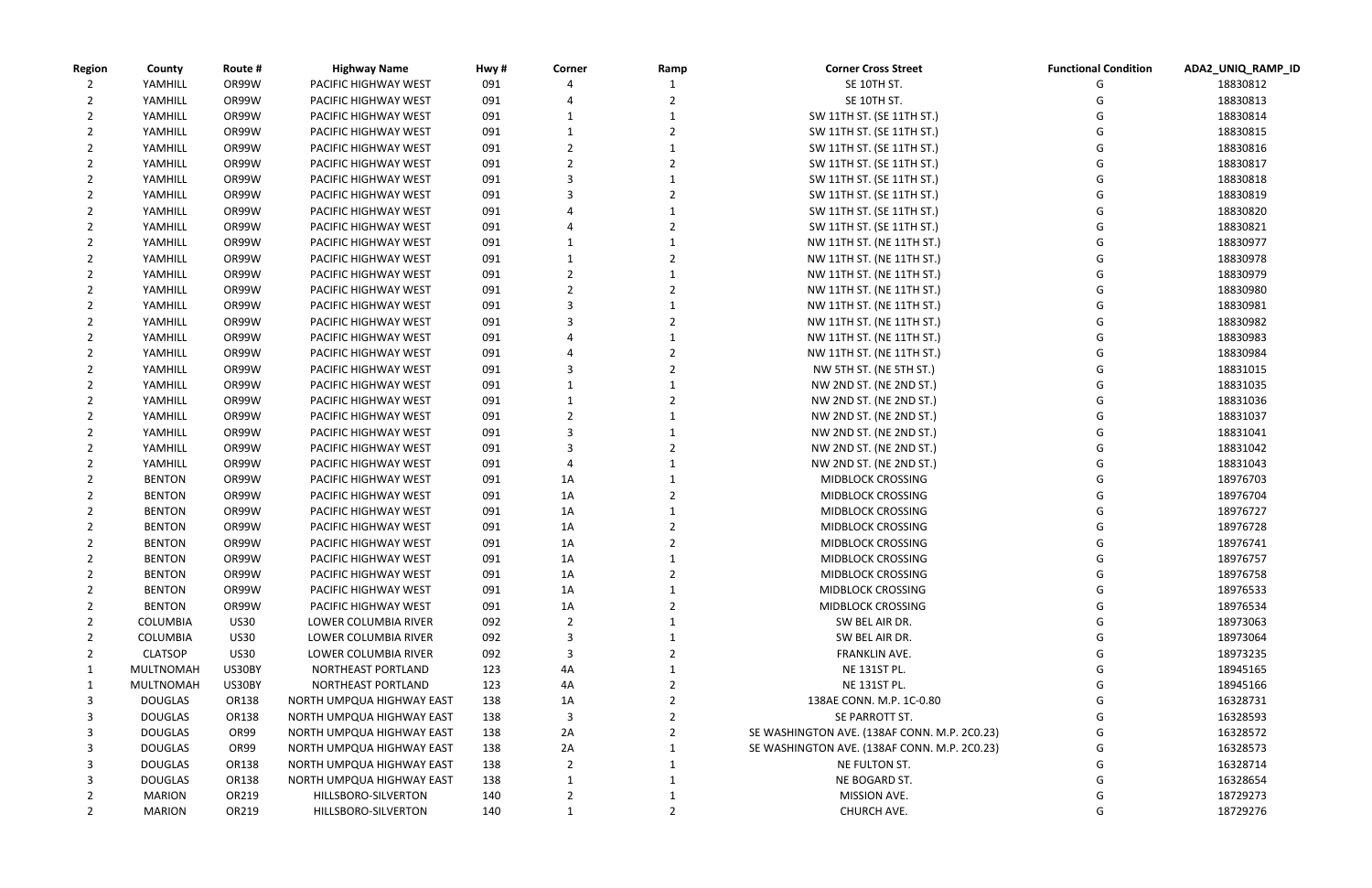| <b>Region</b> | County           | Route #     | <b>Highway Name</b>         | Hwy# | Corner | Ramp | <b>Corner Cross Street</b>                   | <b>Functional Condition</b> | ADA2_UNIQ_RAMP_ID |
|---------------|------------------|-------------|-----------------------------|------|--------|------|----------------------------------------------|-----------------------------|-------------------|
|               | YAMHILL          | OR99W       | PACIFIC HIGHWAY WEST        | 091  |        |      | SE 10TH ST.                                  |                             | 18830812          |
|               | YAMHILL          | OR99W       | PACIFIC HIGHWAY WEST        | 091  |        |      | SE 10TH ST.                                  |                             | 18830813          |
|               | YAMHILL          | OR99W       | PACIFIC HIGHWAY WEST        | 091  |        |      | SW 11TH ST. (SE 11TH ST.)                    |                             | 18830814          |
|               | YAMHILL          | OR99W       | PACIFIC HIGHWAY WEST        | 091  |        |      | SW 11TH ST. (SE 11TH ST.)                    |                             | 18830815          |
|               | YAMHILL          | OR99W       | PACIFIC HIGHWAY WEST        | 091  |        |      | SW 11TH ST. (SE 11TH ST.)                    |                             | 18830816          |
|               | YAMHILL          | OR99W       | PACIFIC HIGHWAY WEST        | 091  |        |      | SW 11TH ST. (SE 11TH ST.)                    |                             | 18830817          |
|               | YAMHILL          | OR99W       | PACIFIC HIGHWAY WEST        | 091  |        |      | SW 11TH ST. (SE 11TH ST.)                    |                             | 18830818          |
|               | YAMHILL          | OR99W       | PACIFIC HIGHWAY WEST        | 091  |        |      | SW 11TH ST. (SE 11TH ST.)                    |                             | 18830819          |
|               | YAMHILL          | OR99W       | PACIFIC HIGHWAY WEST        | 091  |        |      | SW 11TH ST. (SE 11TH ST.)                    |                             | 18830820          |
|               | YAMHILL          | OR99W       | PACIFIC HIGHWAY WEST        | 091  |        |      | SW 11TH ST. (SE 11TH ST.)                    |                             | 18830821          |
|               | YAMHILL          | OR99W       | PACIFIC HIGHWAY WEST        | 091  |        |      | NW 11TH ST. (NE 11TH ST.)                    |                             | 18830977          |
|               | YAMHILL          | OR99W       | PACIFIC HIGHWAY WEST        | 091  |        |      | NW 11TH ST. (NE 11TH ST.)                    |                             | 18830978          |
|               | YAMHILL          | OR99W       | PACIFIC HIGHWAY WEST        | 091  |        |      | NW 11TH ST. (NE 11TH ST.)                    |                             | 18830979          |
|               | YAMHILL          | OR99W       | PACIFIC HIGHWAY WEST        | 091  |        |      | NW 11TH ST. (NE 11TH ST.)                    |                             | 18830980          |
|               | YAMHILL          | OR99W       | PACIFIC HIGHWAY WEST        | 091  |        |      | NW 11TH ST. (NE 11TH ST.)                    |                             | 18830981          |
|               | YAMHILL          | OR99W       | PACIFIC HIGHWAY WEST        | 091  |        |      | NW 11TH ST. (NE 11TH ST.)                    |                             | 18830982          |
|               | YAMHILL          | OR99W       | PACIFIC HIGHWAY WEST        | 091  |        |      | NW 11TH ST. (NE 11TH ST.)                    |                             | 18830983          |
|               | YAMHILL          | OR99W       | PACIFIC HIGHWAY WEST        | 091  |        |      | NW 11TH ST. (NE 11TH ST.)                    |                             | 18830984          |
|               | YAMHILL          | OR99W       | PACIFIC HIGHWAY WEST        | 091  |        |      | NW 5TH ST. (NE 5TH ST.)                      |                             | 18831015          |
|               | YAMHILL          | OR99W       | PACIFIC HIGHWAY WEST        | 091  |        |      | NW 2ND ST. (NE 2ND ST.)                      |                             | 18831035          |
|               |                  |             |                             |      |        |      |                                              |                             |                   |
|               | YAMHILL          | OR99W       | PACIFIC HIGHWAY WEST        | 091  |        |      | NW 2ND ST. (NE 2ND ST.)                      |                             | 18831036          |
|               | YAMHILL          | OR99W       | PACIFIC HIGHWAY WEST        | 091  |        |      | NW 2ND ST. (NE 2ND ST.)                      |                             | 18831037          |
|               | YAMHILL          | OR99W       | PACIFIC HIGHWAY WEST        | 091  |        |      | NW 2ND ST. (NE 2ND ST.)                      |                             | 18831041          |
|               | YAMHILL          | OR99W       | PACIFIC HIGHWAY WEST        | 091  |        |      | NW 2ND ST. (NE 2ND ST.)                      |                             | 18831042          |
|               | YAMHILL          | OR99W       | PACIFIC HIGHWAY WEST        | 091  |        |      | NW 2ND ST. (NE 2ND ST.)                      |                             | 18831043          |
|               | <b>BENTON</b>    | OR99W       | PACIFIC HIGHWAY WEST        | 091  | 1A     |      | MIDBLOCK CROSSING                            |                             | 18976703          |
|               | <b>BENTON</b>    | OR99W       | PACIFIC HIGHWAY WEST        | 091  | 1A     |      | MIDBLOCK CROSSING                            |                             | 18976704          |
|               | <b>BENTON</b>    | OR99W       | PACIFIC HIGHWAY WEST        | 091  | 1A     |      | <b>MIDBLOCK CROSSING</b>                     |                             | 18976727          |
|               | <b>BENTON</b>    | OR99W       | PACIFIC HIGHWAY WEST        | 091  | 1A     |      | <b>MIDBLOCK CROSSING</b>                     |                             | 18976728          |
|               | <b>BENTON</b>    | OR99W       | PACIFIC HIGHWAY WEST        | 091  | 1A     |      | <b>MIDBLOCK CROSSING</b>                     |                             | 18976741          |
|               | <b>BENTON</b>    | OR99W       | PACIFIC HIGHWAY WEST        | 091  | 1A     |      | <b>MIDBLOCK CROSSING</b>                     |                             | 18976757          |
|               | <b>BENTON</b>    | OR99W       | PACIFIC HIGHWAY WEST        | 091  | 1A     |      | MIDBLOCK CROSSING                            | G                           | 18976758          |
|               | <b>BENTON</b>    | OR99W       | <b>PACIFIC HIGHWAY WEST</b> | 091  | 1A     |      | <b>MIDBLOCK CROSSING</b>                     |                             | 18976533          |
|               | <b>BENTON</b>    | OR99W       | PACIFIC HIGHWAY WEST        | 091  | 1A     |      | MIDBLOCK CROSSING                            |                             | 18976534          |
|               | <b>COLUMBIA</b>  | <b>US30</b> | LOWER COLUMBIA RIVER        | 092  |        |      | SW BEL AIR DR.                               |                             | 18973063          |
|               | <b>COLUMBIA</b>  | <b>US30</b> | LOWER COLUMBIA RIVER        | 092  |        |      | SW BEL AIR DR.                               |                             | 18973064          |
| 2             | <b>CLATSOP</b>   | <b>US30</b> | LOWER COLUMBIA RIVER        | 092  |        |      | <b>FRANKLIN AVE.</b>                         |                             | 18973235          |
| 1             | <b>MULTNOMAH</b> | US30BY      | NORTHEAST PORTLAND          | 123  | 4Α     |      | NE 131ST PL.                                 |                             | 18945165          |
|               | MULTNOMAH        | US30BY      | NORTHEAST PORTLAND          | 123  | 4A     |      | NE 131ST PL.                                 |                             | 18945166          |
| 3             | <b>DOUGLAS</b>   | OR138       | NORTH UMPQUA HIGHWAY EAST   | 138  | 1A     |      | 138AE CONN. M.P. 1C-0.80                     |                             | 16328731          |
| 3             | <b>DOUGLAS</b>   | OR138       | NORTH UMPQUA HIGHWAY EAST   | 138  | 3      |      | SE PARROTT ST.                               |                             | 16328593          |
| 3             | <b>DOUGLAS</b>   | OR99        | NORTH UMPQUA HIGHWAY EAST   | 138  | 2A     |      | SE WASHINGTON AVE. (138AF CONN. M.P. 2C0.23) |                             | 16328572          |
| 3             | <b>DOUGLAS</b>   | OR99        | NORTH UMPQUA HIGHWAY EAST   | 138  | 2A     |      | SE WASHINGTON AVE. (138AF CONN. M.P. 2C0.23) |                             | 16328573          |
| 3             | <b>DOUGLAS</b>   | OR138       | NORTH UMPQUA HIGHWAY EAST   | 138  | 2      |      | NE FULTON ST.                                |                             | 16328714          |
| 3             | <b>DOUGLAS</b>   | OR138       | NORTH UMPQUA HIGHWAY EAST   | 138  |        |      | NE BOGARD ST.                                |                             | 16328654          |
|               | <b>MARION</b>    | OR219       | HILLSBORO-SILVERTON         | 140  | 2      |      | MISSION AVE.                                 |                             | 18729273          |
|               | <b>MARION</b>    | OR219       | HILLSBORO-SILVERTON         | 140  |        |      | CHURCH AVE.                                  |                             | 18729276          |
|               |                  |             |                             |      |        |      |                                              |                             |                   |

| unctional Condition- | ADA2 UNIQ RAMP ID    |
|----------------------|----------------------|
| G                    | 18830812             |
| G                    | 18830813             |
| G                    | 18830814             |
| G                    | 18830815             |
| G                    | 18830816             |
| G                    | 18830817             |
| G                    | 18830818             |
| G                    | 18830819             |
| G                    | 18830820             |
| G                    | 18830821             |
| G                    | 18830977             |
| G                    | 18830978             |
| G                    | 18830979             |
| G                    | 18830980             |
| G                    | 18830981             |
| G                    | 18830982             |
| G                    | 18830983             |
| G                    | 18830984             |
| G                    | 18831015             |
| G                    | 18831035             |
| G                    | 18831036             |
| G                    | 18831037             |
| G                    | 18831041             |
| G                    | 18831042             |
| G                    | 18831043             |
| G                    | 18976703             |
| G                    | 18976704             |
| G                    | 18976727             |
| G                    | 18976728             |
| G                    | 18976741             |
| G                    | 18976757             |
| G                    | 18976758             |
| G                    | 18976533             |
| G                    | 18976534             |
| G                    | 18973063             |
| G                    | 18973064             |
| G<br>G               | 18973235<br>18945165 |
| G                    |                      |
| G                    | 18945166<br>16328731 |
| G                    |                      |
| G                    | 16328593<br>16328572 |
| G                    | 16328573             |
| G                    | 16328714             |
| G                    | 16328654             |
| G                    | 18729273             |
| G                    | 18729276             |
|                      |                      |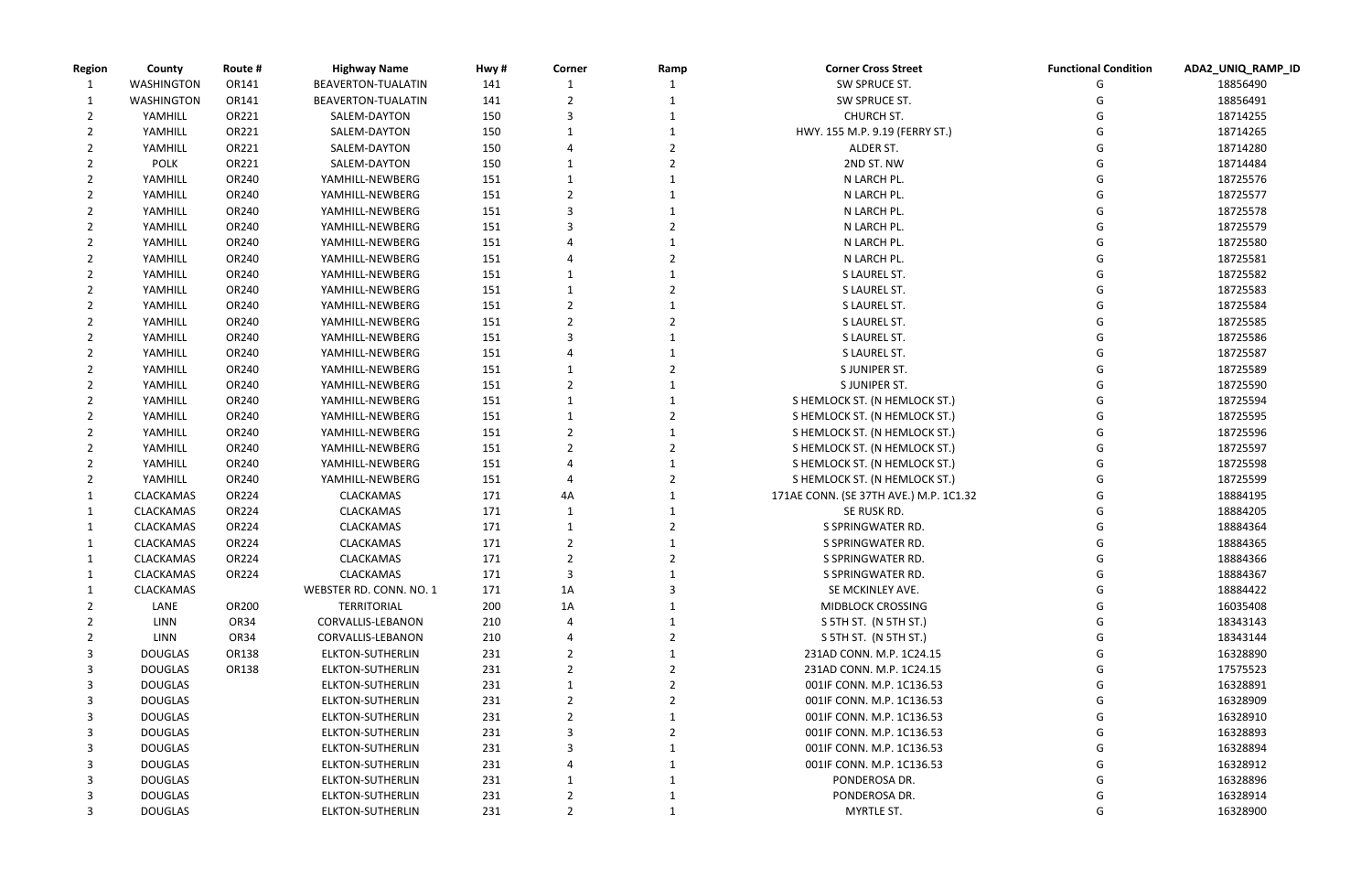|      |   | Functional Condition ADA2_UNIQ_RAMP_ID |
|------|---|----------------------------------------|
|      | G | 18856490                               |
|      | G | 18856491                               |
|      | G | 18714255                               |
|      | G | 18714265                               |
|      | G | 18714280                               |
|      | G | 18714484                               |
|      | G | 18725576                               |
|      | G | 18725577                               |
|      | G | 18725578                               |
|      | G | 18725579                               |
|      | G | 18725580                               |
|      | G | 18725581                               |
|      | G | 18725582                               |
|      | G | 18725583                               |
|      | G | 18725584                               |
|      | G | 18725585                               |
|      | G | 18725586                               |
|      | G | 18725587                               |
|      | G | 18725589                               |
|      | G | 18725590                               |
|      | G | 18725594                               |
|      | G | 18725595                               |
|      | G | 18725596                               |
|      | G | 18725597                               |
|      | G | 18725598                               |
|      | G | 18725599                               |
| 1.32 | G | 18884195                               |
|      | G | 18884205                               |
|      | G | 18884364                               |
|      | G | 18884365                               |
|      | G | 18884366                               |
|      | G | 18884367                               |
|      | G | 18884422                               |
|      | G | 16035408                               |
|      | G | 18343143                               |
|      | G | 18343144                               |
|      | G | 16328890                               |
|      | G | 17575523                               |
|      | G | 16328891                               |
|      | G | 16328909                               |
|      | G | 16328910                               |
|      | G | 16328893                               |
|      | G | 16328894                               |
|      | G | 16328912                               |
|      | G | 16328896                               |
|      | G | 16328914                               |
|      | G | 16328900                               |
|      |   |                                        |

| Region | County            | Route #      | <b>Highway Name</b>     | Hwy# | Corner | Ramp | <b>Corner Cross Street</b>             | <b>Functional Condition</b> | ADA2_UNIQ_RA |
|--------|-------------------|--------------|-------------------------|------|--------|------|----------------------------------------|-----------------------------|--------------|
|        | <b>WASHINGTON</b> | OR141        | BEAVERTON-TUALATIN      | 141  |        |      | SW SPRUCE ST.                          |                             | 18856490     |
|        | WASHINGTON        | OR141        | BEAVERTON-TUALATIN      | 141  |        |      | SW SPRUCE ST.                          |                             | 18856491     |
|        | YAMHILL           | OR221        | SALEM-DAYTON            | 150  | 3      |      | CHURCH ST.                             |                             | 18714255     |
|        | YAMHILL           | OR221        | SALEM-DAYTON            | 150  |        |      | HWY. 155 M.P. 9.19 (FERRY ST.)         |                             | 18714265     |
|        | YAMHILL           | OR221        | SALEM-DAYTON            | 150  |        |      | ALDER ST.                              |                             | 18714280     |
|        | <b>POLK</b>       | OR221        | SALEM-DAYTON            | 150  |        |      | 2ND ST. NW                             |                             | 18714484     |
|        | YAMHILL           | OR240        | YAMHILL-NEWBERG         | 151  |        |      | N LARCH PL.                            |                             | 18725576     |
|        | YAMHILL           | OR240        | YAMHILL-NEWBERG         | 151  |        |      | N LARCH PL.                            |                             | 18725577     |
|        | YAMHILL           | OR240        | YAMHILL-NEWBERG         | 151  |        |      | N LARCH PL.                            |                             | 18725578     |
|        | YAMHILL           | OR240        | YAMHILL-NEWBERG         | 151  |        |      | N LARCH PL.                            |                             | 18725579     |
|        | YAMHILL           | OR240        | YAMHILL-NEWBERG         | 151  |        |      | N LARCH PL.                            |                             | 18725580     |
|        | YAMHILL           | OR240        | YAMHILL-NEWBERG         | 151  |        |      | N LARCH PL.                            |                             | 18725581     |
|        | YAMHILL           | OR240        | YAMHILL-NEWBERG         | 151  |        |      | S LAUREL ST.                           |                             | 18725582     |
|        | YAMHILL           | OR240        | YAMHILL-NEWBERG         | 151  |        |      | S LAUREL ST.                           |                             | 18725583     |
|        | YAMHILL           | OR240        | YAMHILL-NEWBERG         | 151  |        |      | S LAUREL ST.                           |                             | 18725584     |
|        | YAMHILL           | OR240        | YAMHILL-NEWBERG         | 151  |        |      | S LAUREL ST.                           |                             | 18725585     |
|        | YAMHILL           | OR240        | YAMHILL-NEWBERG         | 151  |        |      | S LAUREL ST.                           |                             | 18725586     |
|        | YAMHILL           | OR240        | YAMHILL-NEWBERG         | 151  |        |      | S LAUREL ST.                           |                             | 18725587     |
|        | YAMHILL           | OR240        | YAMHILL-NEWBERG         | 151  |        |      | S JUNIPER ST.                          |                             | 18725589     |
|        | YAMHILL           | OR240        | YAMHILL-NEWBERG         | 151  |        |      | S JUNIPER ST.                          |                             | 18725590     |
|        | YAMHILL           | OR240        | YAMHILL-NEWBERG         | 151  |        |      | S HEMLOCK ST. (N HEMLOCK ST.)          |                             | 18725594     |
|        | YAMHILL           | OR240        | YAMHILL-NEWBERG         | 151  |        |      | S HEMLOCK ST. (N HEMLOCK ST.)          |                             | 18725595     |
|        | YAMHILL           | OR240        | YAMHILL-NEWBERG         | 151  |        |      | S HEMLOCK ST. (N HEMLOCK ST.)          |                             | 18725596     |
|        | YAMHILL           | OR240        | YAMHILL-NEWBERG         | 151  |        |      | S HEMLOCK ST. (N HEMLOCK ST.)          |                             | 18725597     |
|        | YAMHILL           | OR240        | YAMHILL-NEWBERG         | 151  |        |      | S HEMLOCK ST. (N HEMLOCK ST.)          |                             | 18725598     |
|        | YAMHILL           | OR240        | YAMHILL-NEWBERG         | 151  |        |      | S HEMLOCK ST. (N HEMLOCK ST.)          |                             | 18725599     |
|        | <b>CLACKAMAS</b>  | OR224        | <b>CLACKAMAS</b>        | 171  | 4A     |      | 171AE CONN. (SE 37TH AVE.) M.P. 1C1.32 |                             | 18884195     |
|        | CLACKAMAS         | OR224        | <b>CLACKAMAS</b>        | 171  |        |      | SE RUSK RD.                            |                             | 18884205     |
|        | <b>CLACKAMAS</b>  | OR224        | <b>CLACKAMAS</b>        | 171  |        |      | S SPRINGWATER RD.                      |                             | 18884364     |
|        | <b>CLACKAMAS</b>  | OR224        | CLACKAMAS               | 171  |        |      | S SPRINGWATER RD.                      |                             | 18884365     |
|        | <b>CLACKAMAS</b>  | OR224        | <b>CLACKAMAS</b>        | 171  |        |      | S SPRINGWATER RD.                      |                             | 18884366     |
|        | <b>CLACKAMAS</b>  | OR224        | <b>CLACKAMAS</b>        | 171  | 3      |      | S SPRINGWATER RD.                      |                             | 18884367     |
|        | <b>CLACKAMAS</b>  |              | WEBSTER RD. CONN. NO. 1 | 171  | 1A     |      | SE MCKINLEY AVE.                       |                             | 18884422     |
|        | LANE              | OR200        | <b>TERRITORIAL</b>      | 200  | 1A     |      | <b>MIDBLOCK CROSSING</b>               |                             | 16035408     |
|        | <b>LINN</b>       | OR34         | CORVALLIS-LEBANON       | 210  |        |      | S 5TH ST. (N 5TH ST.)                  |                             | 18343143     |
|        | LINN              | OR34         | CORVALLIS-LEBANON       | 210  |        |      | S 5TH ST. (N 5TH ST.)                  |                             | 18343144     |
| 3      | <b>DOUGLAS</b>    | <b>OR138</b> | <b>ELKTON-SUTHERLIN</b> | 231  |        |      | 231AD CONN. M.P. 1C24.15               |                             | 16328890     |
| 3      | <b>DOUGLAS</b>    | OR138        | <b>ELKTON-SUTHERLIN</b> | 231  |        |      | 231AD CONN. M.P. 1C24.15               |                             | 17575523     |
| 3      | <b>DOUGLAS</b>    |              | ELKTON-SUTHERLIN        | 231  |        |      | 001IF CONN. M.P. 1C136.53              |                             | 16328891     |
| 3      | <b>DOUGLAS</b>    |              | ELKTON-SUTHERLIN        | 231  |        |      | 001IF CONN. M.P. 1C136.53              |                             | 16328909     |
|        | <b>DOUGLAS</b>    |              | ELKTON-SUTHERLIN        | 231  |        |      | 001IF CONN. M.P. 1C136.53              |                             | 16328910     |
| 3      | <b>DOUGLAS</b>    |              | <b>ELKTON-SUTHERLIN</b> | 231  |        |      | 001IF CONN. M.P. 1C136.53              |                             | 16328893     |
|        | <b>DOUGLAS</b>    |              | <b>ELKTON-SUTHERLIN</b> | 231  |        |      | 001IF CONN. M.P. 1C136.53              |                             | 16328894     |
|        | <b>DOUGLAS</b>    |              | ELKTON-SUTHERLIN        | 231  |        |      | 001IF CONN. M.P. 1C136.53              |                             | 16328912     |
| 3      | <b>DOUGLAS</b>    |              | ELKTON-SUTHERLIN        | 231  |        |      | PONDEROSA DR.                          |                             | 16328896     |
|        | <b>DOUGLAS</b>    |              | <b>ELKTON-SUTHERLIN</b> | 231  |        |      | PONDEROSA DR.                          |                             | 16328914     |
| 3      | <b>DOUGLAS</b>    |              | <b>ELKTON-SUTHERLIN</b> | 231  | 2      |      | MYRTLE ST.                             | G                           | 16328900     |
|        |                   |              |                         |      |        |      |                                        |                             |              |